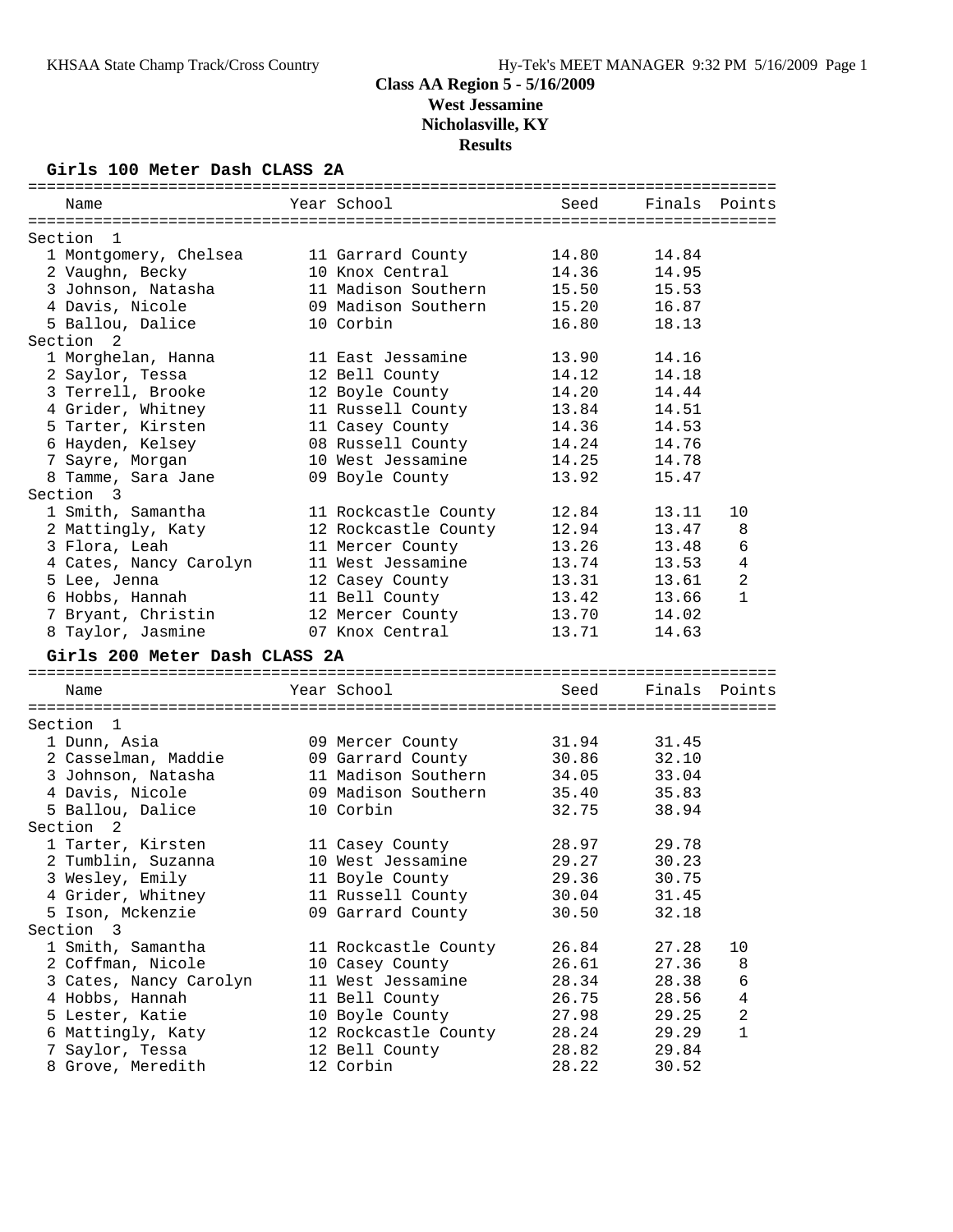**Results**

#### **Girls 100 Meter Dash CLASS 2A**

| Name                          | Year School          | Seed  | Finals | Points         |
|-------------------------------|----------------------|-------|--------|----------------|
|                               |                      |       |        |                |
| Section<br>-1                 |                      |       |        |                |
| 1 Montgomery, Chelsea         | 11 Garrard County    | 14.80 | 14.84  |                |
| 2 Vaughn, Becky               | 10 Knox Central      | 14.36 | 14.95  |                |
| 3 Johnson, Natasha            | 11 Madison Southern  | 15.50 | 15.53  |                |
| 4 Davis, Nicole               | 09 Madison Southern  | 15.20 | 16.87  |                |
| 5 Ballou, Dalice              | 10 Corbin            | 16.80 | 18.13  |                |
| Section<br>2                  |                      |       |        |                |
| 1 Morghelan, Hanna            | 11 East Jessamine    | 13.90 | 14.16  |                |
| 2 Saylor, Tessa               | 12 Bell County       | 14.12 | 14.18  |                |
| 3 Terrell, Brooke             | 12 Boyle County      | 14.20 | 14.44  |                |
| 4 Grider, Whitney             | 11 Russell County    | 13.84 | 14.51  |                |
| 5 Tarter, Kirsten             | 11 Casey County      | 14.36 | 14.53  |                |
| 6 Hayden, Kelsey              | 08 Russell County    | 14.24 | 14.76  |                |
| 7 Sayre, Morgan               | 10 West Jessamine    | 14.25 | 14.78  |                |
| 8 Tamme, Sara Jane            | 09 Boyle County      | 13.92 | 15.47  |                |
| Section 3                     |                      |       |        |                |
| 1 Smith, Samantha             | 11 Rockcastle County | 12.84 | 13.11  | 10             |
| 2 Mattingly, Katy             | 12 Rockcastle County | 12.94 | 13.47  | 8              |
| 3 Flora, Leah                 | 11 Mercer County     | 13.26 | 13.48  | 6              |
| 4 Cates, Nancy Carolyn        | 11 West Jessamine    | 13.74 | 13.53  | $\overline{4}$ |
| 5 Lee, Jenna                  | 12 Casey County      | 13.31 | 13.61  | $\overline{c}$ |
| 6 Hobbs, Hannah               | 11 Bell County       | 13.42 | 13.66  | 1              |
| 7 Bryant, Christin            | 12 Mercer County     | 13.70 | 14.02  |                |
| 8 Taylor, Jasmine             | 07 Knox Central      | 13.71 | 14.63  |                |
| Girls 200 Meter Dash CLASS 2A |                      |       |        |                |
|                               |                      |       |        |                |
| Name                          | Year School          | Seed  | Finals | Points         |
|                               |                      |       |        |                |
| Section<br>- 1                |                      |       |        |                |
| 1 Dunn, Asia                  | 09 Mercer County     | 31.94 | 31.45  |                |
| 2 Casselman, Maddie           | 09 Garrard County    | 30.86 | 32.10  |                |
| 3 Johnson, Natasha            | 11 Madison Southern  | 34.05 | 33.04  |                |
| 4 Davis, Nicole               | 09 Madison Southern  | 35.40 | 35.83  |                |
| 5 Ballou, Dalice              | 10 Corbin            | 32.75 | 38.94  |                |
| Section<br>2                  |                      |       |        |                |
| 1 Tarter, Kirsten             | 11 Casey County      | 28.97 | 29.78  |                |
| 2 Tumblin, Suzanna            | 10 West Jessamine    | 29.27 | 30.23  |                |
| 3 Wesley, Emily               | 11 Boyle County      | 29.36 | 30.75  |                |
| 4 Grider, Whitney             | 11 Russell County    | 30.04 | 31.45  |                |
| 5 Ison, Mckenzie              | 09 Garrard County    | 30.50 | 32.18  |                |
| Section 3                     |                      |       |        |                |
|                               |                      |       |        |                |
| 1 Smith, Samantha             | 11 Rockcastle County | 26.84 | 27.28  | 10             |
| 2 Coffman, Nicole             | 10 Casey County      | 26.61 | 27.36  | 8              |
| 3 Cates, Nancy Carolyn        | 11 West Jessamine    | 28.34 | 28.38  | 6              |
| 4 Hobbs, Hannah               | 11 Bell County       | 26.75 | 28.56  | 4              |
| 5 Lester, Katie               | 10 Boyle County      | 27.98 | 29.25  | 2              |
| 6 Mattingly, Katy             | 12 Rockcastle County | 28.24 | 29.29  | 1              |
| 7 Saylor, Tessa               | 12 Bell County       | 28.82 | 29.84  |                |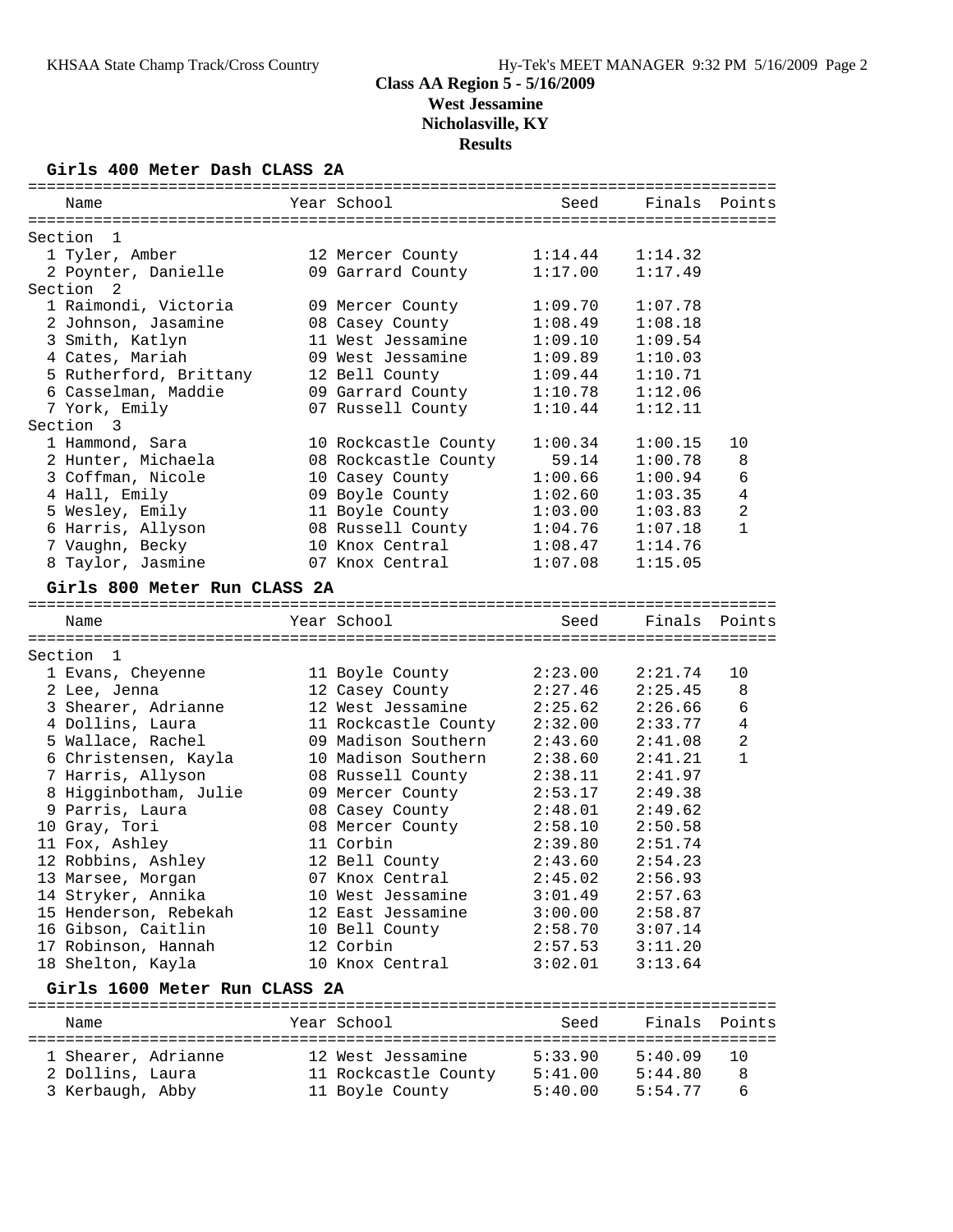#### **Girls 400 Meter Dash CLASS 2A**

| Name                          | Year School          | Seed    | Finals  | Points         |
|-------------------------------|----------------------|---------|---------|----------------|
|                               |                      |         |         |                |
| Section<br>1                  |                      |         |         |                |
| 1 Tyler, Amber                | 12 Mercer County     | 1:14.44 | 1:14.32 |                |
| 2 Poynter, Danielle           | 09 Garrard County    | 1:17.00 | 1:17.49 |                |
| Section 2                     |                      |         |         |                |
| 1 Raimondi, Victoria          | 09 Mercer County     | 1:09.70 | 1:07.78 |                |
| 2 Johnson, Jasamine           | 08 Casey County      | 1:08.49 | 1:08.18 |                |
| 3 Smith, Katlyn               | 11 West Jessamine    | 1:09.10 | 1:09.54 |                |
| 4 Cates, Mariah               | 09 West Jessamine    | 1:09.89 | 1:10.03 |                |
| 5 Rutherford, Brittany        | 12 Bell County       | 1:09.44 | 1:10.71 |                |
| 6 Casselman, Maddie           | 09 Garrard County    | 1:10.78 | 1:12.06 |                |
| 7 York, Emily                 | 07 Russell County    | 1:10.44 | 1:12.11 |                |
| Section<br>3                  |                      |         |         |                |
| 1 Hammond, Sara               | 10 Rockcastle County | 1:00.34 | 1:00.15 | 10             |
| 2 Hunter, Michaela            | 08 Rockcastle County | 59.14   | 1:00.78 | $\,8\,$        |
| 3 Coffman, Nicole             | 10 Casey County      | 1:00.66 | 1:00.94 | 6              |
| 4 Hall, Emily                 | 09 Boyle County      | 1:02.60 | 1:03.35 | 4              |
| 5 Wesley, Emily               | 11 Boyle County      | 1:03.00 | 1:03.83 | 2              |
| 6 Harris, Allyson             | 08 Russell County    | 1:04.76 | 1:07.18 | 1              |
| 7 Vaughn, Becky               | 10 Knox Central      | 1:08.47 | 1:14.76 |                |
| 8 Taylor, Jasmine             | 07 Knox Central      | 1:07.08 | 1:15.05 |                |
|                               |                      |         |         |                |
| Girls 800 Meter Run CLASS 2A  |                      |         |         |                |
| Name                          | Year School          | Seed    | Finals  | Points         |
|                               |                      |         |         |                |
| Section 1                     |                      |         |         |                |
| 1 Evans, Cheyenne             | 11 Boyle County      | 2:23.00 | 2:21.74 | 10             |
| 2 Lee, Jenna                  | 12 Casey County      | 2:27.46 | 2:25.45 | 8              |
| 3 Shearer, Adrianne           | 12 West Jessamine    | 2:25.62 | 2:26.66 | 6              |
| 4 Dollins, Laura              | 11 Rockcastle County | 2:32.00 | 2:33.77 | $\overline{4}$ |
| 5 Wallace, Rachel             | 09 Madison Southern  | 2:43.60 | 2:41.08 | $\overline{a}$ |
| 6 Christensen, Kayla          | 10 Madison Southern  | 2:38.60 | 2:41.21 | $\mathbf 1$    |
| 7 Harris, Allyson             | 08 Russell County    | 2:38.11 | 2:41.97 |                |
| 8 Higginbotham, Julie         | 09 Mercer County     | 2:53.17 | 2:49.38 |                |
| 9 Parris, Laura               | 08 Casey County      | 2:48.01 | 2:49.62 |                |
| 10 Gray, Tori                 | 08 Mercer County     | 2:58.10 | 2:50.58 |                |
| 11 Fox, Ashley                | 11 Corbin            | 2:39.80 | 2:51.74 |                |
| 12 Robbins, Ashley            | 12 Bell County       | 2:43.60 | 2:54.23 |                |
| 13 Marsee, Morgan             | 07 Knox Central      | 2:45.02 | 2:56.93 |                |
| 14 Stryker, Annika            | 10 West Jessamine    | 3:01.49 | 2:57.63 |                |
| 15 Henderson, Rebekah         | 12 East Jessamine    | 3:00.00 | 2:58.87 |                |
| 16 Gibson, Caitlin            | 10 Bell County       | 2:58.70 | 3:07.14 |                |
| 17 Robinson, Hannah           | 12 Corbin            | 2:57.53 | 3:11.20 |                |
| 18 Shelton, Kayla             | 10 Knox Central      | 3:02.01 | 3:13.64 |                |
|                               |                      |         |         |                |
| Girls 1600 Meter Run CLASS 2A |                      |         |         |                |
| Name                          | Year School          | Seed    | Finals  | Points         |
|                               |                      |         |         |                |
| 1 Shearer, Adrianne           | 12 West Jessamine    | 5:33.90 | 5:40.09 | 10             |

| 1 DILCAL CI, AUL LAIMIC |  | LA WEST DESSAMINE    |                 |         | ັ⊥ບ |
|-------------------------|--|----------------------|-----------------|---------|-----|
| 2 Dollins, Laura        |  | 11 Rockcastle County | 5:41.00 5:44.80 |         | - 8 |
| 3 Kerbaugh, Abby        |  | 11 Boyle County      | 5:40.00         | 5:54.77 | - 6 |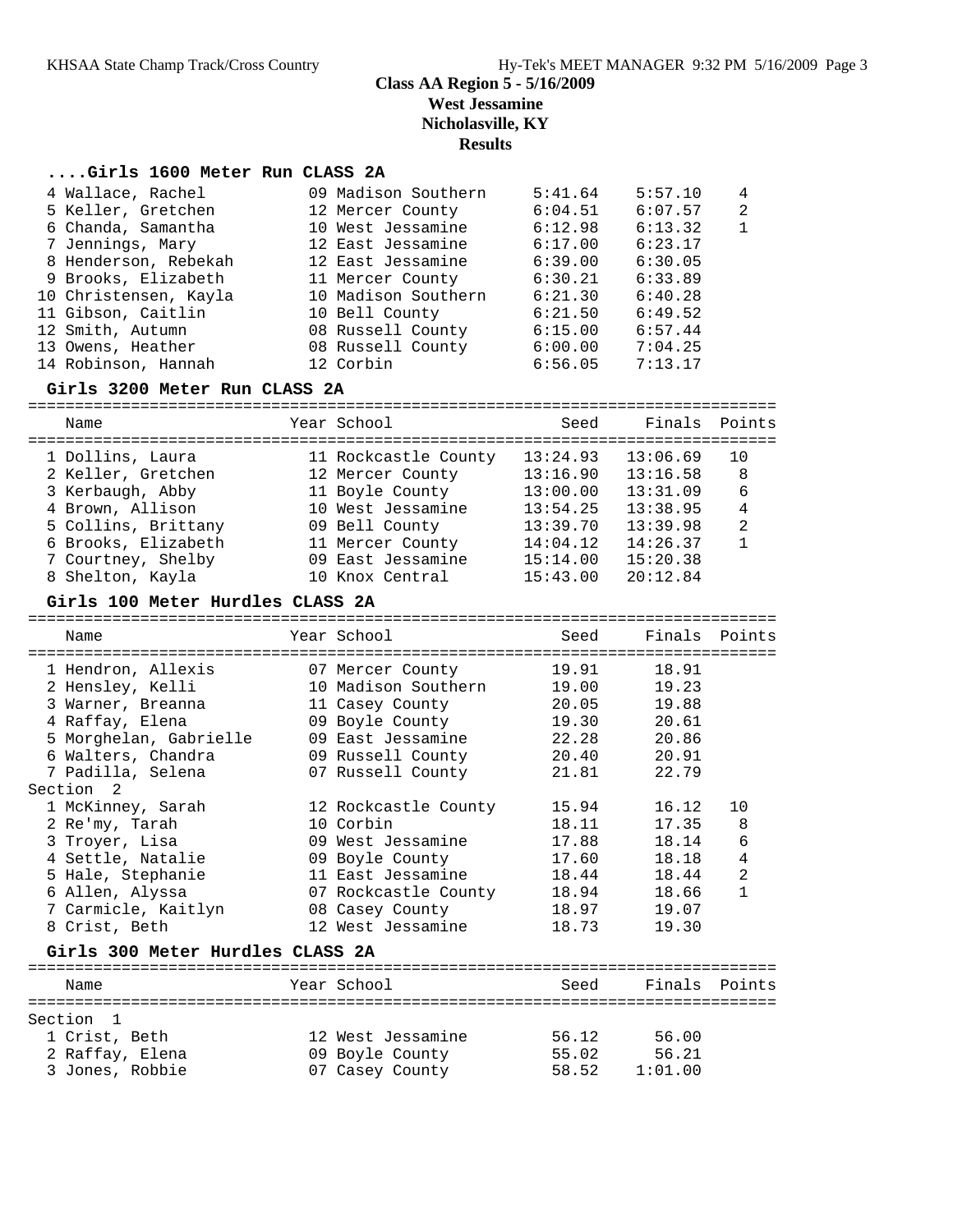#### **....Girls 1600 Meter Run CLASS 2A**

| 4 Wallace, Rachel     | 09 Madison Southern | 5:41.64 | 5:57.10 | $\overline{4}$ |
|-----------------------|---------------------|---------|---------|----------------|
| 5 Keller, Gretchen    | 12 Mercer County    | 6:04.51 | 6:07.57 | $\overline{2}$ |
| 6 Chanda, Samantha    | 10 West Jessamine   | 6:12.98 | 6:13.32 | $\mathbf{1}$   |
| 7 Jennings, Mary      | 12 East Jessamine   | 6:17.00 | 6:23.17 |                |
| 8 Henderson, Rebekah  | 12 East Jessamine   | 6:39.00 | 6:30.05 |                |
| 9 Brooks, Elizabeth   | 11 Mercer County    | 6:30.21 | 6:33.89 |                |
| 10 Christensen, Kayla | 10 Madison Southern | 6:21.30 | 6:40.28 |                |
| 11 Gibson, Caitlin    | 10 Bell County      | 6:21.50 | 6:49.52 |                |
| 12 Smith, Autumn      | 08 Russell County   | 6:15.00 | 6:57.44 |                |
| 13 Owens, Heather     | 08 Russell County   | 6:00.00 | 7:04.25 |                |
| 14 Robinson, Hannah   | 12 Corbin           | 6:56.05 | 7:13.17 |                |

#### **Girls 3200 Meter Run CLASS 2A**

| Name                | Year School          | Seed     | Finals Points |                |
|---------------------|----------------------|----------|---------------|----------------|
| 1 Dollins, Laura    | 11 Rockcastle County | 13:24.93 | 13:06.69      | 10             |
| 2 Keller, Gretchen  | 12 Mercer County     | 13:16.90 | 13:16.58      | 8              |
| 3 Kerbaugh, Abby    | 11 Boyle County      | 13:00.00 | 13:31.09      | 6              |
| 4 Brown, Allison    | 10 West Jessamine    | 13:54.25 | 13:38.95      | 4              |
| 5 Collins, Brittany | 09 Bell County       | 13:39.70 | 13:39.98      | $\overline{2}$ |
| 6 Brooks, Elizabeth | 11 Mercer County     | 14:04.12 | 14:26.37      |                |
| 7 Courtney, Shelby  | 09 East Jessamine    | 15:14.00 | 15:20.38      |                |
| 8 Shelton, Kayla    | 10 Knox Central      | 15:43.00 | 20:12.84      |                |
|                     |                      |          |               |                |

#### **Girls 100 Meter Hurdles CLASS 2A**

| Name               |                                  | Year School                      | Seed          | Finals Points |                |
|--------------------|----------------------------------|----------------------------------|---------------|---------------|----------------|
|                    |                                  |                                  |               |               |                |
|                    | 1 Hendron, Allexis               | 07 Mercer County                 | 19.91         | 18.91         |                |
| 2 Hensley, Kelli   |                                  | 10 Madison Southern              |               | 19.00 19.23   |                |
|                    | 3 Warner, Breanna                | 11 Casey County 20.05 19.88      |               |               |                |
| 4 Raffay, Elena    |                                  | 09 Boyle County                  |               | 19.30 20.61   |                |
|                    | 5 Morghelan, Gabrielle           | 09 East Jessamine 22.28 20.86    |               |               |                |
| 6 Walters, Chandra |                                  | 09 Russell County 20.40 20.91    |               |               |                |
| 7 Padilla, Selena  |                                  | 07 Russell County                | 21.81         | 22.79         |                |
| Section 2          |                                  |                                  |               |               |                |
| 1 McKinney, Sarah  |                                  | 12 Rockcastle County             | 15.94         | 16.12         | 10             |
| 2 Re'my, Tarah     |                                  | 10 Corbin                        | 18.11         | 17.35         | 8              |
| 3 Troyer, Lisa     |                                  | 09 West Jessamine                | 17.88         | 18.14         | $\epsilon$     |
| 4 Settle, Natalie  |                                  | 09 Boyle County                  |               | 17.60 18.18   | $\overline{4}$ |
| 5 Hale, Stephanie  |                                  | 11 East Jessamine 18.44 18.44    |               |               | $\overline{a}$ |
| 6 Allen, Alyssa    |                                  | 07 Rockcastle County 18.94 18.66 |               |               | $\mathbf{1}$   |
|                    | 7 Carmicle, Kaitlyn              | 08 Casey County 18.97 19.07      |               |               |                |
| 8 Crist, Beth      |                                  | 12 West Jessamine                |               | 18.73 19.30   |                |
|                    | Girls 300 Meter Hurdles CLASS 2A |                                  |               |               |                |
|                    |                                  |                                  | ============= |               |                |
| Name               |                                  | Year School                      | Seed          | Finals Points |                |
|                    |                                  |                                  |               |               |                |
| Section 1          |                                  |                                  |               |               |                |
| 1 Crist, Beth      |                                  | 12 West Jessamine                | 56.12 56.00   |               |                |
| 2 Raffay, Elena    |                                  | 09 Boyle County 55.02 56.21      |               |               |                |
| 3 Jones, Robbie    |                                  | 07 Casey County 58.52 1:01.00    |               |               |                |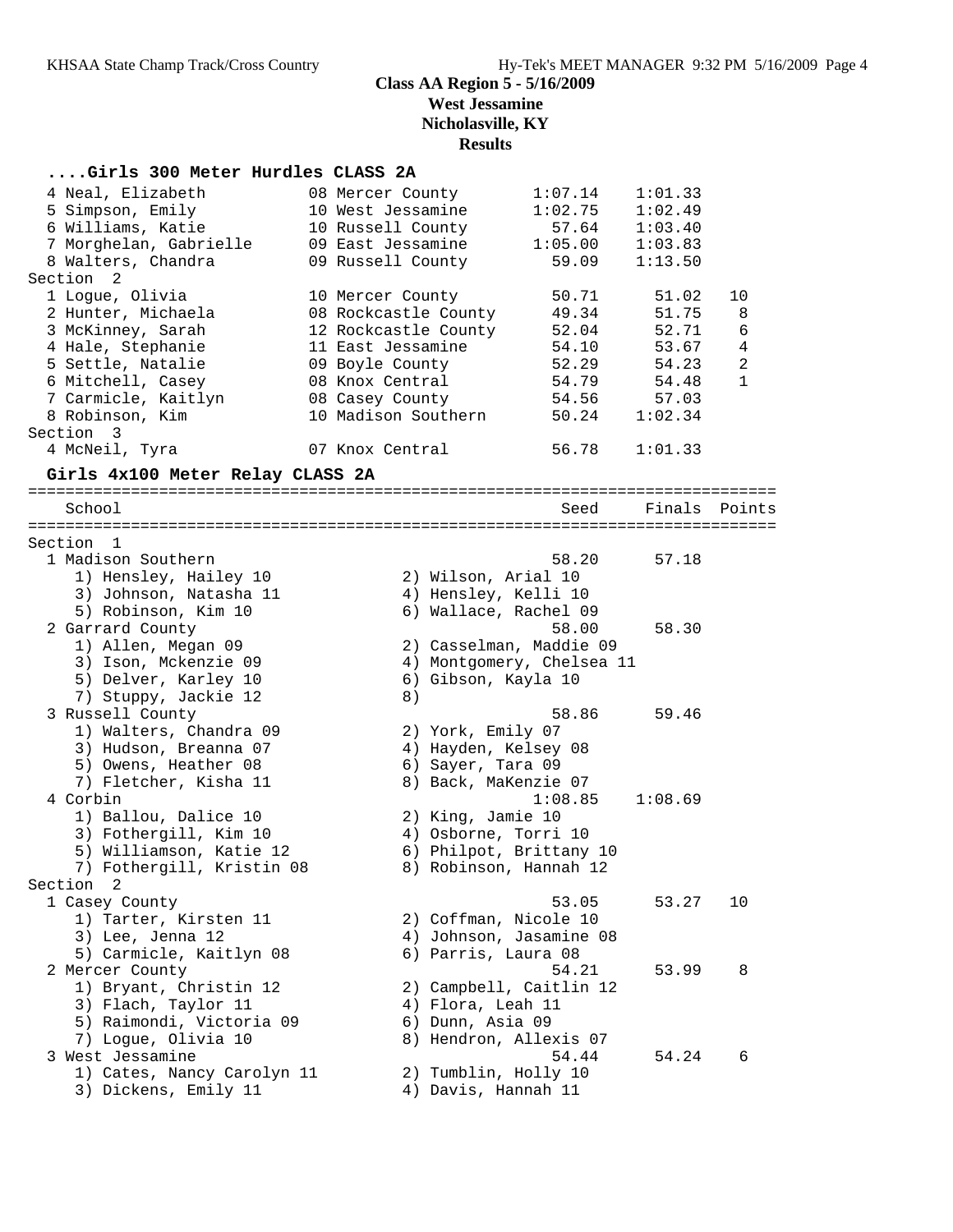## **....Girls 300 Meter Hurdles CLASS 2A**

| 4 Neal, Elizabeth                  | 08 Mercer County     |                           | 1:07.14 | 1:01.33 |                |
|------------------------------------|----------------------|---------------------------|---------|---------|----------------|
| 5 Simpson, Emily                   | 10 West Jessamine    |                           | 1:02.75 | 1:02.49 |                |
| 6 Williams, Katie                  | 10 Russell County    |                           | 57.64   | 1:03.40 |                |
| 7 Morghelan, Gabrielle             | 09 East Jessamine    |                           | 1:05.00 | 1:03.83 |                |
| 8 Walters, Chandra                 | 09 Russell County    |                           | 59.09   | 1:13.50 |                |
| Section<br>2                       |                      |                           |         |         |                |
| 1 Logue, Olivia                    | 10 Mercer County     |                           | 50.71   | 51.02   | 10             |
| 2 Hunter, Michaela                 | 08 Rockcastle County |                           | 49.34   | 51.75   | 8              |
| 3 McKinney, Sarah                  | 12 Rockcastle County |                           | 52.04   | 52.71   | 6              |
| 4 Hale, Stephanie                  | 11 East Jessamine    |                           | 54.10   | 53.67   | 4              |
| 5 Settle, Natalie                  | 09 Boyle County      |                           | 52.29   | 54.23   | $\overline{a}$ |
| 6 Mitchell, Casey                  | 08 Knox Central      |                           | 54.79   | 54.48   | $\mathbf{1}$   |
| 7 Carmicle, Kaitlyn                | 08 Casey County      |                           | 54.56   | 57.03   |                |
| 8 Robinson, Kim                    | 10 Madison Southern  |                           | 50.24   | 1:02.34 |                |
| Section<br>$\overline{\mathbf{3}}$ |                      |                           |         |         |                |
| 4 McNeil, Tyra                     | 07 Knox Central      |                           | 56.78   | 1:01.33 |                |
| Girls 4x100 Meter Relay CLASS 2A   |                      |                           |         |         |                |
| School                             |                      |                           | Seed    | Finals  | Points         |
|                                    |                      |                           |         |         |                |
| Section 1                          |                      |                           |         |         |                |
| 1 Madison Southern                 |                      |                           | 58.20   | 57.18   |                |
| 1) Hensley, Hailey 10              |                      | 2) Wilson, Arial 10       |         |         |                |
| 3) Johnson, Natasha 11             |                      | 4) Hensley, Kelli 10      |         |         |                |
| 5) Robinson, Kim 10                |                      | 6) Wallace, Rachel 09     |         |         |                |
| 2 Garrard County                   |                      |                           | 58.00   | 58.30   |                |
| 1) Allen, Megan 09                 |                      | 2) Casselman, Maddie 09   |         |         |                |
| 3) Ison, Mckenzie 09               |                      | 4) Montgomery, Chelsea 11 |         |         |                |
| 5) Delver, Karley 10               |                      | 6) Gibson, Kayla 10       |         |         |                |
| 7) Stuppy, Jackie 12               | 8)                   |                           |         |         |                |
| 3 Russell County                   |                      |                           | 58.86   | 59.46   |                |
| 1) Walters, Chandra 09             |                      | 2) York, Emily 07         |         |         |                |
| 3) Hudson, Breanna 07              |                      | 4) Hayden, Kelsey 08      |         |         |                |
| 5) Owens, Heather 08               |                      | 6) Sayer, Tara 09         |         |         |                |
| 7) Fletcher, Kisha 11              |                      | 8) Back, MaKenzie 07      |         |         |                |
| 4 Corbin                           |                      |                           | 1:08.85 | 1:08.69 |                |
| 1) Ballou, Dalice 10               |                      | 2) King, Jamie 10         |         |         |                |
| 3) Fothergill, Kim 10              |                      | 4) Osborne, Torri 10      |         |         |                |
| 5) Williamson, Katie 12            |                      | 6) Philpot, Brittany 10   |         |         |                |
| 7) Fothergill, Kristin 08          |                      | 8) Robinson, Hannah 12    |         |         |                |
| Section 2                          |                      |                           |         |         |                |
| 1 Casey County                     |                      |                           | 53.05   | 53.27   | 10             |
| 1) Tarter, Kirsten 11              |                      | 2) Coffman, Nicole 10     |         |         |                |
| 3) Lee, Jenna 12                   |                      | 4) Johnson, Jasamine 08   |         |         |                |
| 5) Carmicle, Kaitlyn 08            |                      | 6) Parris, Laura 08       |         |         |                |
| 2 Mercer County                    |                      |                           | 54.21   | 53.99   | 8              |
| 1) Bryant, Christin 12             |                      | 2) Campbell, Caitlin 12   |         |         |                |
| 3) Flach, Taylor 11                |                      | 4) Flora, Leah 11         |         |         |                |
| 5) Raimondi, Victoria 09           |                      | 6) Dunn, Asia 09          |         |         |                |
| 7) Logue, Olivia 10                |                      | 8) Hendron, Allexis 07    |         |         |                |
| 3 West Jessamine                   |                      |                           | 54.44   | 54.24   | 6              |
| 1) Cates, Nancy Carolyn 11         |                      | 2) Tumblin, Holly 10      |         |         |                |
| 3) Dickens, Emily 11               |                      | 4) Davis, Hannah 11       |         |         |                |
|                                    |                      |                           |         |         |                |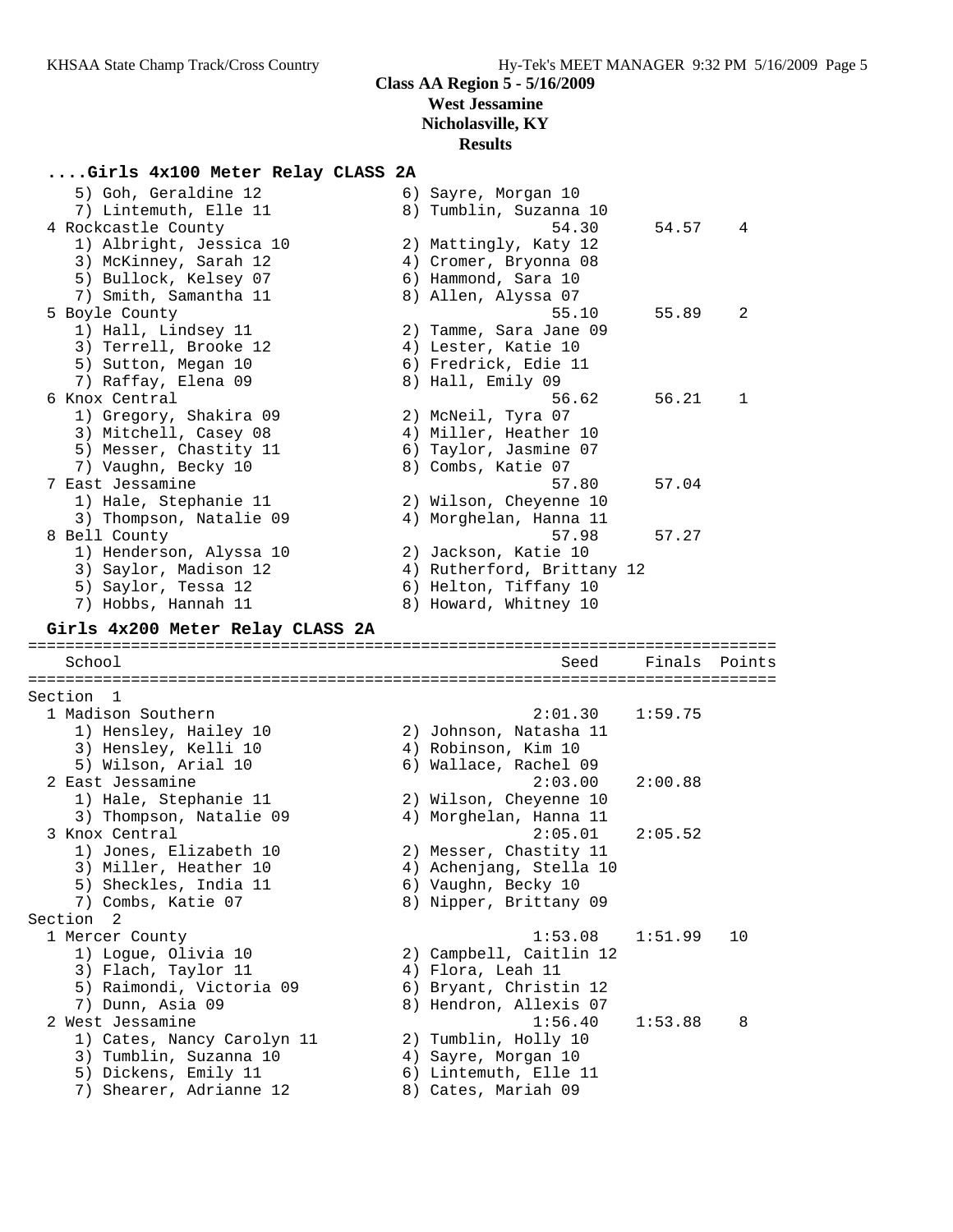## **....Girls 4x100 Meter Relay CLASS 2A**

| 5) Goh, Geraldine 12<br>7) Lintemuth, Elle 11   | 6) Sayre, Morgan 10<br>8) Tumblin, Suzanna 10 |         |        |
|-------------------------------------------------|-----------------------------------------------|---------|--------|
| 4 Rockcastle County                             | 54.30                                         | 54.57   | 4      |
| 1) Albright, Jessica 10                         | 2) Mattingly, Katy 12                         |         |        |
| 3) McKinney, Sarah 12                           | 4) Cromer, Bryonna 08                         |         |        |
| 5) Bullock, Kelsey 07                           | 6) Hammond, Sara 10                           |         |        |
| 7) Smith, Samantha 11                           | 8) Allen, Alyssa 07                           |         |        |
| 5 Boyle County                                  | 55.10                                         | 55.89   | 2      |
| 1) Hall, Lindsey 11                             | 2) Tamme, Sara Jane 09                        |         |        |
| 3) Terrell, Brooke 12                           | 4) Lester, Katie 10                           |         |        |
| 5) Sutton, Megan 10                             | 6) Fredrick, Edie 11                          |         |        |
| 7) Raffay, Elena 09                             | 8) Hall, Emily 09                             |         |        |
| 6 Knox Central                                  | 56.62                                         | 56.21   | 1      |
| 1) Gregory, Shakira 09                          | 2) McNeil, Tyra 07                            |         |        |
| 3) Mitchell, Casey 08                           | 4) Miller, Heather 10                         |         |        |
| 5) Messer, Chastity 11                          | 6) Taylor, Jasmine 07                         |         |        |
| 7) Vaughn, Becky 10                             | 8) Combs, Katie 07                            |         |        |
| 7 East Jessamine                                | 57.80                                         | 57.04   |        |
| 1) Hale, Stephanie 11                           | 2) Wilson, Cheyenne 10                        |         |        |
| 3) Thompson, Natalie 09                         | 4) Morghelan, Hanna 11                        |         |        |
| 8 Bell County                                   | 57.98                                         | 57.27   |        |
| 1) Henderson, Alyssa 10                         | 2) Jackson, Katie 10                          |         |        |
| 3) Saylor, Madison 12                           | 4) Rutherford, Brittany 12                    |         |        |
| 5) Saylor, Tessa 12                             | 6) Helton, Tiffany 10                         |         |        |
| 7) Hobbs, Hannah 11                             | 8) Howard, Whitney 10                         |         |        |
| Girls 4x200 Meter Relay CLASS 2A                |                                               |         |        |
|                                                 |                                               |         |        |
| School                                          | Seed                                          | Finals  | Points |
|                                                 |                                               |         |        |
| Section 1                                       |                                               |         |        |
| 1 Madison Southern                              | 2:01.30                                       | 1:59.75 |        |
| 1) Hensley, Hailey 10                           | 2) Johnson, Natasha 11                        |         |        |
| 3) Hensley, Kelli 10                            | 4) Robinson, Kim 10                           |         |        |
| 5) Wilson, Arial 10                             | 6) Wallace, Rachel 09                         |         |        |
| 2 East Jessamine                                | 2:03.00                                       | 2:00.88 |        |
| 1) Hale, Stephanie 11                           | 2) Wilson, Cheyenne 10                        |         |        |
| 3) Thompson, Natalie 09                         | 4) Morghelan, Hanna 11                        |         |        |
| 3 Knox Central                                  | 2:05.01                                       | 2:05.52 |        |
| 1) Jones, Elizabeth 10                          | 2) Messer, Chastity 11                        |         |        |
| 3) Miller, Heather 10                           | 4) Achenjang, Stella 10                       |         |        |
| 5) Sheckles, India 11                           | 6) Vaughn, Becky 10                           |         |        |
| 7) Combs, Katie 07                              | 8) Nipper, Brittany 09                        |         |        |
| Section 2                                       |                                               |         |        |
| 1 Mercer County                                 | 1:53.08                                       | 1:51.99 | 10     |
| 1) Logue, Olivia 10                             | 2) Campbell, Caitlin 12                       |         |        |
| 3) Flach, Taylor 11                             | 4) Flora, Leah 11                             |         |        |
| 5) Raimondi, Victoria 09                        | 6) Bryant, Christin 12                        |         |        |
| 7) Dunn, Asia 09                                | 8) Hendron, Allexis 07                        |         |        |
| 2 West Jessamine                                | 1:56.40                                       | 1:53.88 | 8      |
| 1) Cates, Nancy Carolyn 11                      | 2) Tumblin, Holly 10                          |         |        |
| 3) Tumblin, Suzanna 10                          | 4) Sayre, Morgan 10                           |         |        |
| 5) Dickens, Emily 11<br>7) Shearer, Adrianne 12 | 6) Lintemuth, Elle 11<br>8) Cates, Mariah 09  |         |        |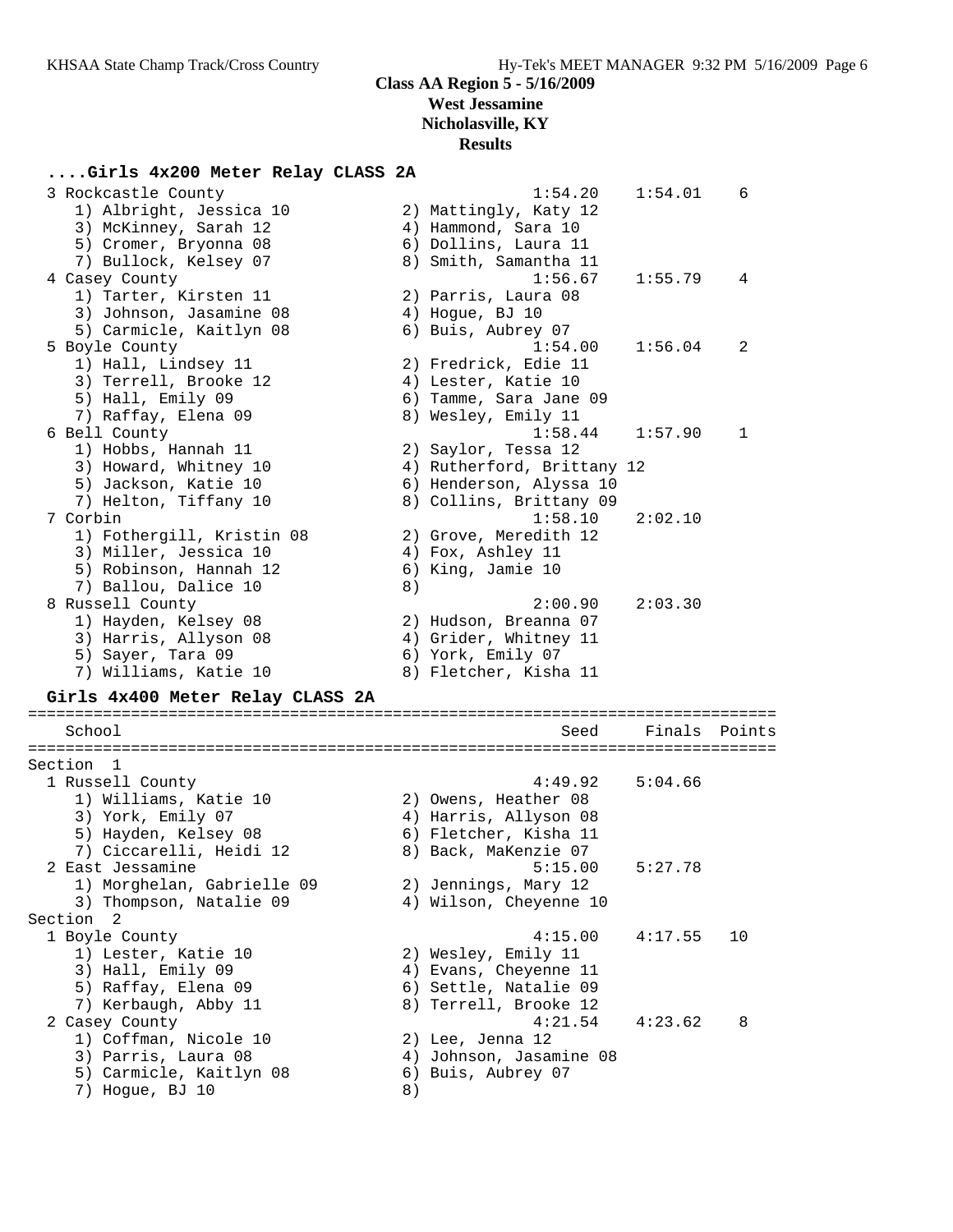#### **Results**

#### **....Girls 4x200 Meter Relay CLASS 2A**

| 3 Rockcastle County              |    | 1:54.20                    | 1:54.01 | 6      |
|----------------------------------|----|----------------------------|---------|--------|
| 1) Albright, Jessica 10          |    | 2) Mattingly, Katy 12      |         |        |
| 3) McKinney, Sarah 12            |    | 4) Hammond, Sara 10        |         |        |
| 5) Cromer, Bryonna 08            |    | 6) Dollins, Laura 11       |         |        |
| 7) Bullock, Kelsey 07            |    | 8) Smith, Samantha 11      |         |        |
| 4 Casey County                   |    | 1:56.67                    | 1:55.79 | 4      |
| 1) Tarter, Kirsten 11            |    |                            |         |        |
|                                  |    | 2) Parris, Laura 08        |         |        |
| 3) Johnson, Jasamine 08          |    | 4) Hogue, BJ 10            |         |        |
| 5) Carmicle, Kaitlyn 08          |    | 6) Buis, Aubrey 07         |         |        |
| 5 Boyle County                   |    | 1:54.00                    | 1:56.04 | 2      |
| 1) Hall, Lindsey 11              |    | 2) Fredrick, Edie 11       |         |        |
| 3) Terrell, Brooke 12            |    | 4) Lester, Katie 10        |         |        |
| 5) Hall, Emily 09                |    | 6) Tamme, Sara Jane 09     |         |        |
| 7) Raffay, Elena 09              |    | 8) Wesley, Emily 11        |         |        |
| 6 Bell County                    |    | 1:58.44                    | 1:57.90 | 1      |
| 1) Hobbs, Hannah 11              |    | 2) Saylor, Tessa 12        |         |        |
| 3) Howard, Whitney 10            |    | 4) Rutherford, Brittany 12 |         |        |
| 5) Jackson, Katie 10             |    | 6) Henderson, Alyssa 10    |         |        |
| 7) Helton, Tiffany 10            |    | 8) Collins, Brittany 09    |         |        |
| 7 Corbin                         |    | 1:58.10                    | 2:02.10 |        |
| 1) Fothergill, Kristin 08        |    | 2) Grove, Meredith 12      |         |        |
| 3) Miller, Jessica 10            |    |                            |         |        |
|                                  |    | 4) Fox, Ashley 11          |         |        |
| 5) Robinson, Hannah 12           |    | 6) King, Jamie 10          |         |        |
| 7) Ballou, Dalice 10             | 8) |                            |         |        |
| 8 Russell County                 |    | 2:00.90                    | 2:03.30 |        |
| 1) Hayden, Kelsey 08             |    | 2) Hudson, Breanna 07      |         |        |
| 3) Harris, Allyson 08            |    | 4) Grider, Whitney 11      |         |        |
| 5) Sayer, Tara 09                |    | 6) York, Emily 07          |         |        |
| 7) Williams, Katie 10            |    | 8) Fletcher, Kisha 11      |         |        |
| Girls 4x400 Meter Relay CLASS 2A |    |                            |         |        |
|                                  |    |                            |         |        |
| School                           |    | Seed                       | Finals  | Points |
|                                  |    |                            |         |        |
| Section 1                        |    |                            |         |        |
| 1 Russell County                 |    | 4:49.92                    | 5:04.66 |        |
| 1) Williams, Katie 10            |    | 2) Owens, Heather 08       |         |        |
| 3) York, Emily 07                |    | 4) Harris, Allyson 08      |         |        |
| 5) Hayden, Kelsey 08             |    | 6) Fletcher, Kisha 11      |         |        |
| 7) Ciccarelli, Heidi 12          |    | 8) Back, MaKenzie 07       |         |        |
| 2 East Jessamine                 |    | 5:15.00                    | 5:27.78 |        |
|                                  |    |                            |         |        |
| 1) Morghelan, Gabrielle 09       |    | 2) Jennings, Mary 12       |         |        |
| 3) Thompson, Natalie 09          |    | 4) Wilson, Cheyenne 10     |         |        |
| Section 2                        |    |                            |         |        |
| 1 Boyle County                   |    | 4:15.00                    | 4:17.55 | 10     |
| 1) Lester, Katie 10              |    | 2) Wesley, Emily 11        |         |        |
| 3) Hall, Emily 09                |    | 4) Evans, Cheyenne 11      |         |        |
| 5) Raffay, Elena 09              |    | 6) Settle, Natalie 09      |         |        |
| 7) Kerbaugh, Abby 11             |    | 8) Terrell, Brooke 12      |         |        |
| 2 Casey County                   |    | 4:21.54                    | 4:23.62 | 8      |
| 1) Coffman, Nicole 10            |    | 2) Lee, Jenna 12           |         |        |
| 3) Parris, Laura 08              |    | 4) Johnson, Jasamine 08    |         |        |
| 5) Carmicle, Kaitlyn 08          |    | 6) Buis, Aubrey 07         |         |        |
|                                  |    |                            |         |        |

7) Hogue, BJ 10 8)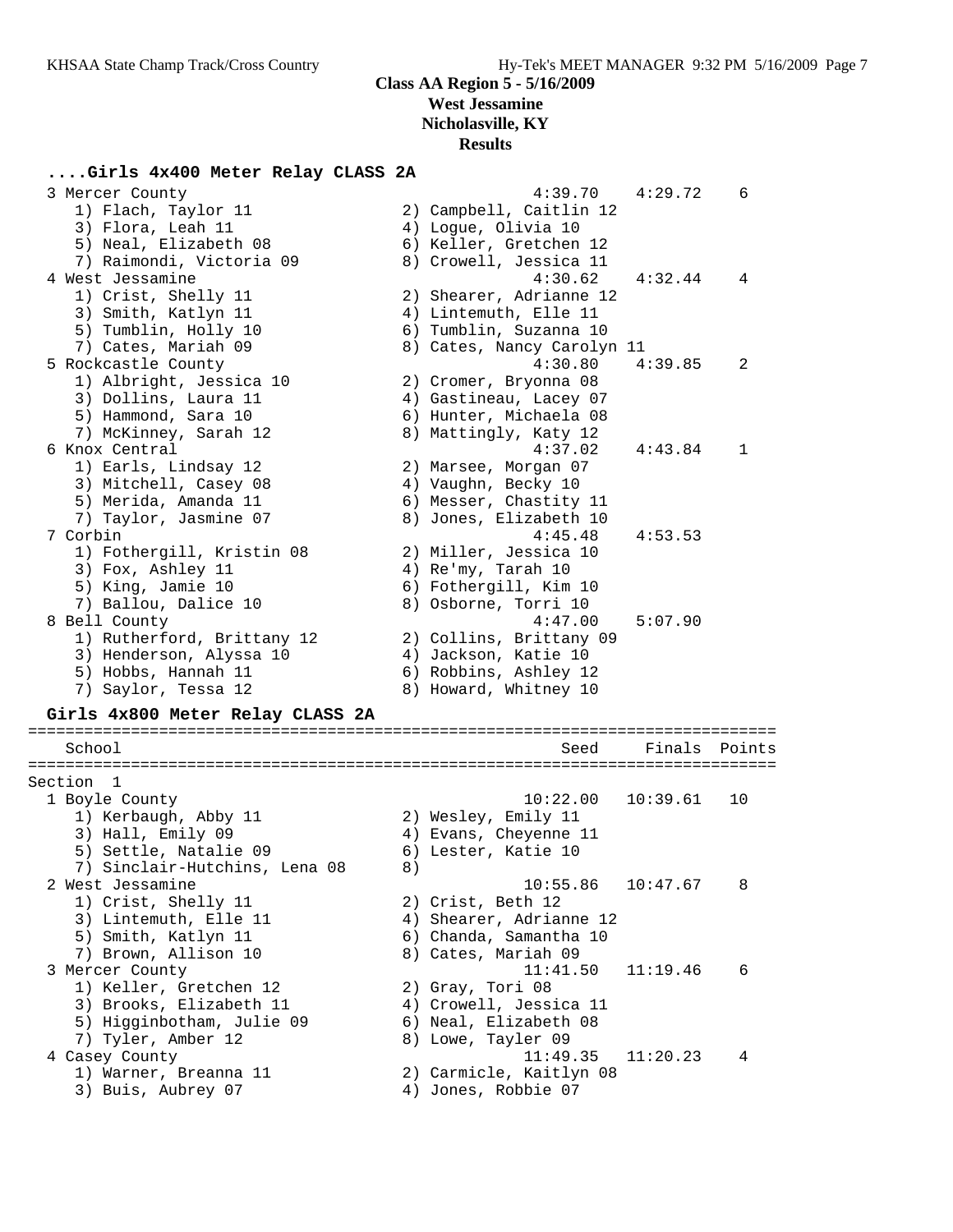## **....Girls 4x400 Meter Relay CLASS 2A**

| 3 Mercer County                  |    | 4:39.70                    | 4:29.72  | 6      |
|----------------------------------|----|----------------------------|----------|--------|
| 1) Flach, Taylor 11              |    | 2) Campbell, Caitlin 12    |          |        |
| 3) Flora, Leah 11                |    | 4) Logue, Olivia 10        |          |        |
| 5) Neal, Elizabeth 08            |    | 6) Keller, Gretchen 12     |          |        |
| 7) Raimondi, Victoria 09         |    | 8) Crowell, Jessica 11     |          |        |
| 4 West Jessamine                 |    | 4:30.62                    | 4:32.44  | 4      |
| 1) Crist, Shelly 11              |    | 2) Shearer, Adrianne 12    |          |        |
| 3) Smith, Katlyn 11              |    | 4) Lintemuth, Elle 11      |          |        |
| 5) Tumblin, Holly 10             |    | 6) Tumblin, Suzanna 10     |          |        |
| 7) Cates, Mariah 09              |    | 8) Cates, Nancy Carolyn 11 |          |        |
| 5 Rockcastle County              |    | 4:30.80                    | 4:39.85  | 2      |
| 1) Albright, Jessica 10          |    |                            |          |        |
|                                  |    | 2) Cromer, Bryonna 08      |          |        |
| 3) Dollins, Laura 11             |    | 4) Gastineau, Lacey 07     |          |        |
| 5) Hammond, Sara 10              |    | 6) Hunter, Michaela 08     |          |        |
| 7) McKinney, Sarah 12            |    | 8) Mattingly, Katy 12      |          |        |
| 6 Knox Central                   |    | 4:37.02                    | 4:43.84  | 1      |
| 1) Earls, Lindsay 12             |    | 2) Marsee, Morgan 07       |          |        |
| 3) Mitchell, Casey 08            |    | 4) Vaughn, Becky 10        |          |        |
| 5) Merida, Amanda 11             |    | 6) Messer, Chastity 11     |          |        |
| 7) Taylor, Jasmine 07            |    | 8) Jones, Elizabeth 10     |          |        |
| 7 Corbin                         |    | 4:45.48                    | 4:53.53  |        |
| 1) Fothergill, Kristin 08        |    | 2) Miller, Jessica 10      |          |        |
| 3) Fox, Ashley 11                |    | 4) Re'my, Tarah 10         |          |        |
| 5) King, Jamie 10                |    | 6) Fothergill, Kim 10      |          |        |
| 7) Ballou, Dalice 10             |    | 8) Osborne, Torri 10       |          |        |
| 8 Bell County                    |    | 4:47.00                    | 5:07.90  |        |
| 1) Rutherford, Brittany 12       |    | 2) Collins, Brittany 09    |          |        |
| 3) Henderson, Alyssa 10          |    | 4) Jackson, Katie 10       |          |        |
| 5) Hobbs, Hannah 11              |    | 6) Robbins, Ashley 12      |          |        |
| 7) Saylor, Tessa 12              |    | 8) Howard, Whitney 10      |          |        |
|                                  |    |                            |          |        |
| Girls 4x800 Meter Relay CLASS 2A |    |                            |          |        |
|                                  |    |                            |          |        |
| School                           |    | Seed                       | Finals   | Points |
| ============                     |    |                            |          |        |
| Section 1                        |    |                            |          |        |
| 1 Boyle County                   |    | 10:22.00                   | 10:39.61 | 10     |
| 1) Kerbaugh, Abby 11             |    | 2) Wesley, Emily 11        |          |        |
| 3) Hall, Emily 09                |    | 4) Evans, Cheyenne 11      |          |        |
| 5) Settle, Natalie 09            |    | 6) Lester, Katie 10        |          |        |
| 7) Sinclair-Hutchins, Lena 08    | 8) |                            |          |        |
| 2 West Jessamine                 |    | 10:55.86                   | 10:47.67 | 8      |
| 1) Crist, Shelly 11              |    | 2) Crist, Beth 12          |          |        |
| 3) Lintemuth, Elle 11            |    | 4) Shearer, Adrianne 12    |          |        |
| 5) Smith, Katlyn 11              |    | 6) Chanda, Samantha 10     |          |        |
| 7) Brown, Allison 10             |    | 8) Cates, Mariah 09        |          |        |
| 3 Mercer County                  |    | 11:41.50                   | 11:19.46 | 6      |
| 1) Keller, Gretchen 12           |    | 2) Gray, Tori 08           |          |        |
| 3) Brooks, Elizabeth 11          |    | 4) Crowell, Jessica 11     |          |        |
|                                  |    |                            |          |        |
| 5) Higginbotham, Julie 09        |    | 6) Neal, Elizabeth 08      |          |        |
| 7) Tyler, Amber 12               |    | 8) Lowe, Tayler 09         |          |        |
| 4 Casey County                   |    | 11:49.35                   | 11:20.23 | 4      |
| 1) Warner, Breanna 11            |    | 2) Carmicle, Kaitlyn 08    |          |        |
| 3) Buis, Aubrey 07               |    | 4) Jones, Robbie 07        |          |        |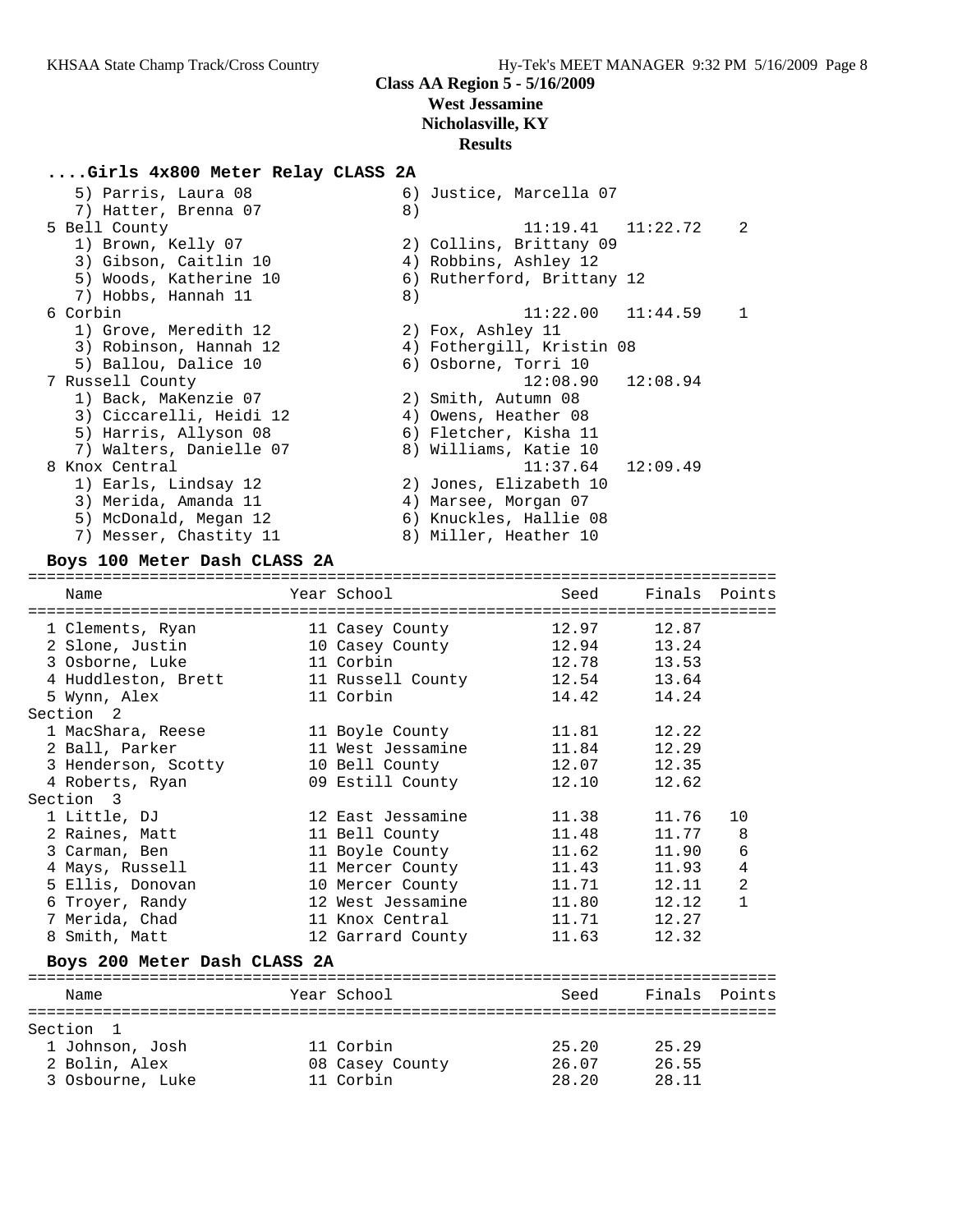#### **....Girls 4x800 Meter Relay CLASS 2A**

| 5) Parris, Laura 08     | 6) Justice, Marcella 07                 |
|-------------------------|-----------------------------------------|
| 7) Hatter, Brenna 07    | 8)                                      |
| 5 Bell County           | $11:19.41$ $11:22.72$<br>$\overline{2}$ |
| 1) Brown, Kelly 07      | 2) Collins, Brittany 09                 |
| 3) Gibson, Caitlin 10   | 4) Robbins, Ashley 12                   |
| 5) Woods, Katherine 10  | 6) Rutherford, Brittany 12              |
| 7) Hobbs, Hannah 11     | 8)                                      |
| 6 Corbin                | $11:22.00$ $11:44.59$                   |
| 1) Grove, Meredith 12   | 2) Fox, Ashley 11                       |
| 3) Robinson, Hannah 12  | 4) Fothergill, Kristin 08               |
| 5) Ballou, Dalice 10    | 6) Osborne, Torri 10                    |
| 7 Russell County        | $12:08.90$ $12:08.94$                   |
| 1) Back, MaKenzie 07    | 2) Smith, Autumn 08                     |
| 3) Ciccarelli, Heidi 12 | 4) Owens, Heather 08                    |
| 5) Harris, Allyson 08   | 6) Fletcher, Kisha 11                   |
| 7) Walters, Danielle 07 | 8) Williams, Katie 10                   |
| 8 Knox Central          | $11:37.64$ $12:09.49$                   |
| 1) Earls, Lindsay 12    | 2) Jones, Elizabeth 10                  |
| 3) Merida, Amanda 11    | 4) Marsee, Morgan 07                    |
| 5) McDonald, Megan 12   | 6) Knuckles, Hallie 08                  |
| 7) Messer, Chastity 11  | 8) Miller, Heather 10                   |

#### **Boys 100 Meter Dash CLASS 2A**

================================================================================ Name Year School Seed Finals Points ================================================================================ 1 Clements, Ryan 11 Casey County 12.97 12.87 2 Slone, Justin 10 Casey County 12.94 13.24 3 Osborne, Luke 11 Corbin 12.78 13.53 4 Huddleston, Brett 11 Russell County 12.54 13.64 5 Wynn, Alex 11 Corbin 14.42 14.24 Section 2 1 MacShara, Reese 11 Boyle County 11.81 12.22 2 Ball, Parker 11 West Jessamine 11.84 12.29 3 Henderson, Scotty 10 Bell County 12.07 12.35 4 Roberts, Ryan 09 Estill County 12.10 12.62 Section 3 1 Little, DJ 12 East Jessamine 11.38 11.76 10 2 Raines, Matt 11 Bell County 11.48 11.77 8 3 Carman, Ben 11 Boyle County 11.62 11.90 6 4 Mays, Russell 11 Mercer County 11.43 11.93 4 5 Ellis, Donovan 10 Mercer County 11.71 12.11 2 6 Troyer, Randy 12 West Jessamine 11.80 12.12 1 7 Merida, Chad 11 Knox Central 11.71 12.27 8 Smith, Matt 12 Garrard County 11.63 12.32 **Boys 200 Meter Dash CLASS 2A** ================================================================================ Name The Year School Seed Finals Points ================================================================================ Section 1 1 Johnson, Josh 11 Corbin 25.20 25.29 2 Bolin, Alex 08 Casey County 26.07 26.55

3 Osbourne, Luke 11 Corbin 28.20 28.11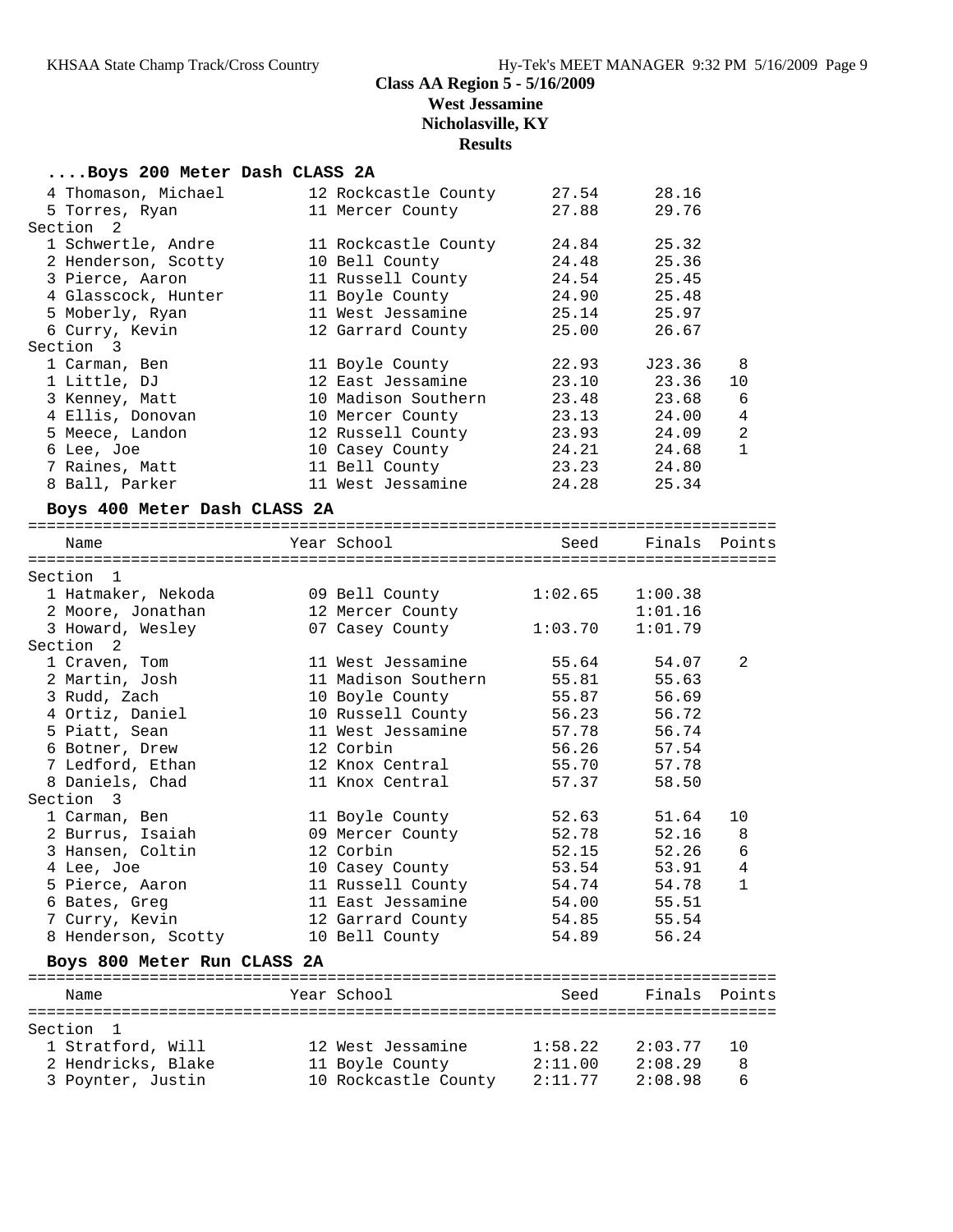#### **....Boys 200 Meter Dash CLASS 2A**

| 4 Thomason, Michael                   | 12 Rockcastle County | 27.54   | 28.16         |                |
|---------------------------------------|----------------------|---------|---------------|----------------|
| 5 Torres, Ryan                        | 11 Mercer County     | 27.88   | 29.76         |                |
| Section<br>$\overline{\phantom{0}}^2$ |                      |         |               |                |
| 1 Schwertle, Andre                    | 11 Rockcastle County | 24.84   | 25.32         |                |
| 2 Henderson, Scotty                   | 10 Bell County       | 24.48   | 25.36         |                |
| 3 Pierce, Aaron                       | 11 Russell County    | 24.54   | 25.45         |                |
| 4 Glasscock, Hunter                   | 11 Boyle County      | 24.90   | 25.48         |                |
| 5 Moberly, Ryan                       | 11 West Jessamine    | 25.14   | 25.97         |                |
| 6 Curry, Kevin                        | 12 Garrard County    | 25.00   | 26.67         |                |
| Section 3                             |                      |         |               |                |
| 1 Carman, Ben                         | 11 Boyle County      | 22.93   | J23.36        | 8              |
| 1 Little, DJ                          | 12 East Jessamine    | 23.10   | 23.36         | 10             |
| 3 Kenney, Matt                        | 10 Madison Southern  | 23.48   | 23.68         | 6              |
| 4 Ellis, Donovan                      | 10 Mercer County     | 23.13   | 24.00         | 4              |
| 5 Meece, Landon                       | 12 Russell County    | 23.93   | 24.09         | 2              |
| 6 Lee, Joe                            | 10 Casey County      | 24.21   | 24.68         | $\mathbf{1}$   |
| 7 Raines, Matt                        | 11 Bell County       | 23.23   | 24.80         |                |
| 8 Ball, Parker                        | 11 West Jessamine    | 24.28   | 25.34         |                |
| Boys 400 Meter Dash CLASS 2A          |                      |         |               |                |
|                                       |                      |         |               |                |
| Name                                  | Year School          | Seed    | Finals Points |                |
|                                       |                      |         |               |                |
| Section 1                             |                      |         |               |                |
| 1 Hatmaker, Nekoda                    | 09 Bell County       | 1:02.65 | 1:00.38       |                |
| 2 Moore, Jonathan                     | 12 Mercer County     |         | 1:01.16       |                |
| 3 Howard, Wesley                      | 07 Casey County      | 1:03.70 | 1:01.79       |                |
| Section <sub>2</sub>                  |                      |         |               |                |
| 1 Craven, Tom                         | 11 West Jessamine    | 55.64   | 54.07         | 2              |
| 2 Martin, Josh                        | 11 Madison Southern  | 55.81   | 55.63         |                |
| 3 Rudd, Zach                          | 10 Boyle County      | 55.87   | 56.69         |                |
| 4 Ortiz, Daniel                       | 10 Russell County    | 56.23   | 56.72         |                |
| 5 Piatt, Sean                         | 11 West Jessamine    | 57.78   | 56.74         |                |
| 6 Botner, Drew                        | 12 Corbin            | 56.26   | 57.54         |                |
| 7 Ledford, Ethan                      | 12 Knox Central      | 55.70   | 57.78         |                |
| 8 Daniels, Chad                       | 11 Knox Central      | 57.37   | 58.50         |                |
| Section 3                             |                      |         |               |                |
| 1 Carman, Ben                         | 11 Boyle County      | 52.63   | 51.64         | 10             |
| 2 Burrus, Isaiah                      | 09 Mercer County     | 52.78   | 52.16         | 8              |
| 3 Hansen, Coltin                      | 12 Corbin            | 52.15   | 52.26         | 6              |
| 4 Lee, Joe                            | 10 Casey County      | 53.54   | 53.91         | $\overline{4}$ |
| 5 Pierce, Aaron                       | 11 Russell County    | 54.74   | 54.78         | $\overline{1}$ |
| 6 Bates, Greg                         | 11 East Jessamine    | 54.00   | 55.51         |                |
| 7 Curry, Kevin                        | 12 Garrard County    | 54.85   | 55.54         |                |
| 8 Henderson, Scotty                   | 10 Bell County       | 54.89   | 56.24         |                |
|                                       |                      |         |               |                |
| Boys 800 Meter Run CLASS 2A           |                      |         |               |                |
| Name                                  | Year School          | Seed    | Finals Points |                |
|                                       |                      |         |               |                |
| Section<br>- 1                        |                      |         |               |                |
| 1 Stratford, Will                     | 12 West Jessamine    | 1:58.22 | 2:03.77       | 10             |
| 2 Hendricks, Blake                    | 11 Boyle County      | 2:11.00 | 2:08.29       | 8              |
| 3 Poynter, Justin                     | 10 Rockcastle County | 2:11.77 | 2:08.98       | 6              |
|                                       |                      |         |               |                |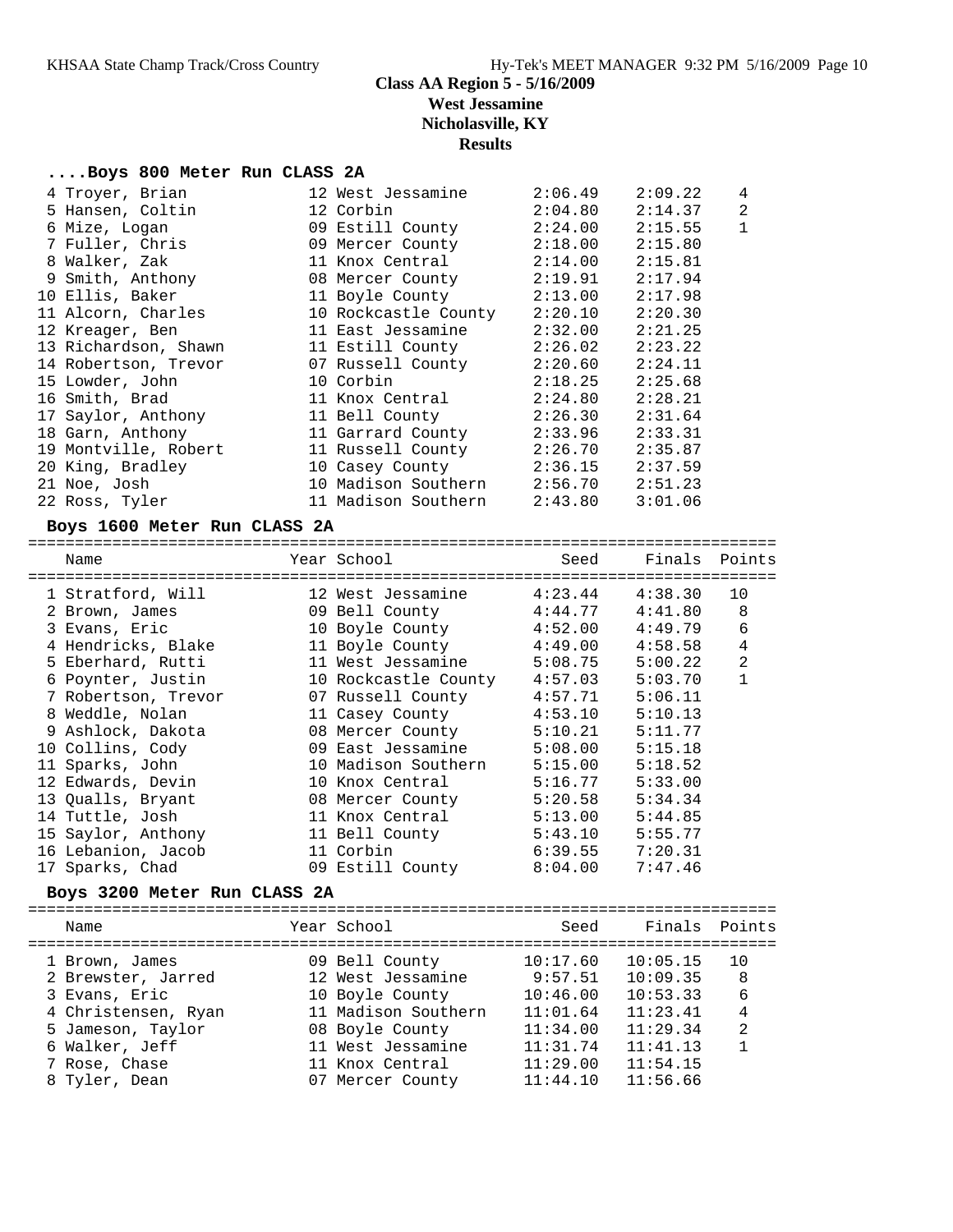#### **....Boys 800 Meter Run CLASS 2A**

| 4 Troyer, Brian      | 12 West Jessamine    | 2:06.49 | 2:09.22 | $\overline{4}$ |
|----------------------|----------------------|---------|---------|----------------|
| 5 Hansen, Coltin     | 12 Corbin            | 2:04.80 | 2:14.37 | 2              |
| 6 Mize, Logan        | 09 Estill County     | 2:24.00 | 2:15.55 | $\mathbf 1$    |
| 7 Fuller, Chris      | 09 Mercer County     | 2:18.00 | 2:15.80 |                |
| 8 Walker, Zak        | 11 Knox Central      | 2:14.00 | 2:15.81 |                |
| 9 Smith, Anthony     | 08 Mercer County     | 2:19.91 | 2:17.94 |                |
| 10 Ellis, Baker      | 11 Boyle County      | 2:13.00 | 2:17.98 |                |
| 11 Alcorn, Charles   | 10 Rockcastle County | 2:20.10 | 2:20.30 |                |
| 12 Kreager, Ben      | 11 East Jessamine    | 2:32.00 | 2:21.25 |                |
| 13 Richardson, Shawn | 11 Estill County     | 2:26.02 | 2:23.22 |                |
| 14 Robertson, Trevor | 07 Russell County    | 2:20.60 | 2:24.11 |                |
| 15 Lowder, John      | 10 Corbin            | 2:18.25 | 2:25.68 |                |
| 16 Smith, Brad       | 11 Knox Central      | 2:24.80 | 2:28.21 |                |
| 17 Saylor, Anthony   | 11 Bell County       | 2:26.30 | 2:31.64 |                |
| 18 Garn, Anthony     | 11 Garrard County    | 2:33.96 | 2:33.31 |                |
| 19 Montville, Robert | 11 Russell County    | 2:26.70 | 2:35.87 |                |
| 20 King, Bradley     | 10 Casey County      | 2:36.15 | 2:37.59 |                |
| 21 Noe, Josh         | 10 Madison Southern  | 2:56.70 | 2:51.23 |                |
| 22 Ross, Tyler       | 11 Madison Southern  | 2:43.80 | 3:01.06 |                |

#### **Boys 1600 Meter Run CLASS 2A**

| Name                         | Year School<br>============================== | Seed     | Finals Points |                |
|------------------------------|-----------------------------------------------|----------|---------------|----------------|
| 1 Stratford, Will            | 12 West Jessamine                             | 4:23.44  | 4:38.30       | 10             |
| 2 Brown, James               | 09 Bell County                                | 4:44.77  | 4:41.80       | 8              |
| 3 Evans, Eric                | 10 Boyle County                               | 4:52.00  | 4:49.79       | 6              |
| 4 Hendricks, Blake           | 11 Boyle County                               | 4:49.00  | 4:58.58       | $\overline{4}$ |
| 5 Eberhard, Rutti            | 11 West Jessamine                             | 5:08.75  | 5:00.22       | $\overline{a}$ |
| 6 Poynter, Justin            | 10 Rockcastle County 4:57.03                  |          | 5:03.70       | $\mathbf{1}$   |
| 7 Robertson, Trevor          | 07 Russell County                             | 4:57.71  | 5:06.11       |                |
| 8 Weddle, Nolan              | 11 Casey County                               | 4:53.10  | 5:10.13       |                |
| 9 Ashlock, Dakota            | 08 Mercer County                              | 5:10.21  | 5:11.77       |                |
| 10 Collins, Cody             | 09 East Jessamine                             | 5:08.00  | 5:15.18       |                |
| 11 Sparks, John              | 10 Madison Southern 5:15.00                   |          | 5:18.52       |                |
| 12 Edwards, Devin            | 10 Knox Central                               | 5:16.77  | 5:33.00       |                |
| 13 Qualls, Bryant            | 08 Mercer County                              | 5:20.58  | 5:34.34       |                |
| 14 Tuttle, Josh              | 11 Knox Central                               | 5:13.00  | 5:44.85       |                |
| 15 Saylor, Anthony           | 11 Bell County                                | 5:43.10  | 5:55.77       |                |
| 16 Lebanion, Jacob           | 11 Corbin                                     | 6:39.55  | 7:20.31       |                |
| 17 Sparks, Chad              | 09 Estill County                              | 8:04.00  | 7:47.46       |                |
| Boys 3200 Meter Run CLASS 2A |                                               |          |               |                |
| Name<br>:===============     | Year School                                   | Seed     | Finals        | Points         |
| 1 Brown, James               | 09 Bell County                                | 10:17.60 | 10:05.15      | 10             |
| 2 Brewster, Jarred           | 12 West Jessamine                             | 9:57.51  | 10:09.35      | 8              |
| 3 Evans, Eric                | 10 Boyle County                               | 10:46.00 | 10:53.33      | 6              |
| 4 Christensen, Ryan          | 11 Madison Southern                           | 11:01.64 | 11:23.41      | $\overline{4}$ |
| 5 Jameson, Taylor            | 08 Boyle County                               | 11:34.00 | 11:29.34      | $\overline{2}$ |
| 6 Walker, Jeff               | 11 West Jessamine                             | 11:31.74 | 11:41.13      | $\mathbf{1}$   |
| 7 Rose, Chase                | 11 Knox Central                               | 11:29.00 | 11:54.15      |                |

8 Tyler, Dean 07 Mercer County 11:44.10 11:56.66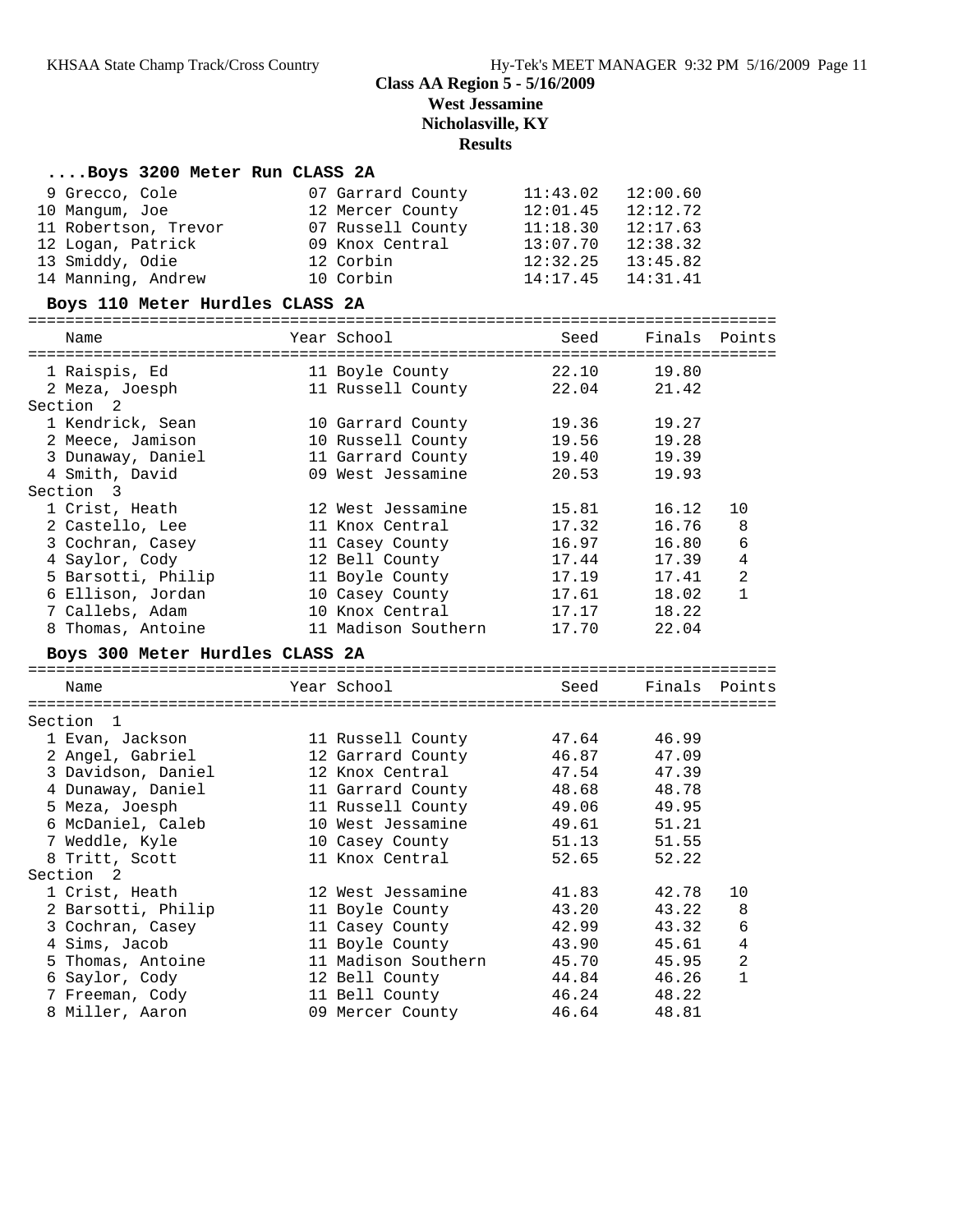#### **....Boys 3200 Meter Run CLASS 2A**

| 9 Grecco, Cole                  | 07 Garrard County   | 11:43.02 | 12:00.60      |                |
|---------------------------------|---------------------|----------|---------------|----------------|
| 10 Mangum, Joe                  | 12 Mercer County    | 12:01.45 | 12:12.72      |                |
| 11 Robertson, Trevor            | 07 Russell County   | 11:18.30 | 12:17.63      |                |
| 12 Logan, Patrick               | 09 Knox Central     | 13:07.70 | 12:38.32      |                |
| 13 Smiddy, Odie                 | 12 Corbin           | 12:32.25 | 13:45.82      |                |
| 14 Manning, Andrew              | 10 Corbin           | 14:17.45 | 14:31.41      |                |
| Boys 110 Meter Hurdles CLASS 2A |                     |          |               |                |
|                                 |                     |          |               |                |
| Name                            | Year School         | Seed     | Finals        | Points         |
| 1 Raispis, Ed                   | 11 Boyle County     | 22.10    | 19.80         |                |
| 2 Meza, Joesph                  | 11 Russell County   | 22.04    | 21.42         |                |
| Section <sub>2</sub>            |                     |          |               |                |
| 1 Kendrick, Sean                | 10 Garrard County   | 19.36    | 19.27         |                |
| 2 Meece, Jamison                | 10 Russell County   | 19.56    | 19.28         |                |
| 3 Dunaway, Daniel               | 11 Garrard County   | 19.40    | 19.39         |                |
| 4 Smith, David                  | 09 West Jessamine   | 20.53    | 19.93         |                |
| Section 3                       |                     |          |               |                |
| 1 Crist, Heath                  | 12 West Jessamine   | 15.81    | 16.12         | 10             |
| 2 Castello, Lee                 | 11 Knox Central     | 17.32    | 16.76         | 8              |
| 3 Cochran, Casey                | 11 Casey County     | 16.97    | 16.80         | 6              |
| 4 Saylor, Cody                  | 12 Bell County      | 17.44    | 17.39         | $\overline{4}$ |
| 5 Barsotti, Philip              | 11 Boyle County     | 17.19    | 17.41         | $\overline{2}$ |
| 6 Ellison, Jordan               | 10 Casey County     | 17.61    | 18.02         | $\mathbf{1}$   |
| 7 Callebs, Adam                 | 10 Knox Central     | 17.17    | 18.22         |                |
| 8 Thomas, Antoine               | 11 Madison Southern | 17.70    | 22.04         |                |
| Boys 300 Meter Hurdles CLASS 2A |                     |          |               |                |
| Name                            | Year School         | Seed     | Finals Points |                |
|                                 |                     |          |               |                |
| Section 1                       |                     |          |               |                |
| 1 Evan, Jackson                 | 11 Russell County   | 47.64    | 46.99         |                |
| 2 Angel, Gabriel                | 12 Garrard County   | 46.87    | 47.09         |                |
| 3 Davidson, Daniel              | 12 Knox Central     | 47.54    | 47.39         |                |
| 4 Dunaway, Daniel               | 11 Garrard County   | 48.68    | 48.78         |                |
| 5 Meza, Joesph                  | 11 Russell County   | 49.06    | 49.95         |                |
| 6 McDaniel, Caleb               | 10 West Jessamine   | 49.61    | 51.21         |                |
| 7 Weddle, Kyle                  | 10 Casey County     | 51.13    | 51.55         |                |
| 8 Tritt, Scott                  | 11 Knox Central     | 52.65    | 52.22         |                |
| Section<br>2                    |                     |          |               |                |
| 1 Crist, Heath                  | 12 West Jessamine   | 41.83    | 42.78         | 10             |
| 2 Barsotti, Philip              | 11 Boyle County     | 43.20    | 43.22         | 8              |
| 3 Cochran, Casey                | 11 Casey County     | 42.99    | 43.32         | 6              |
| 4 Sims, Jacob                   | 11 Boyle County     | 43.90    | 45.61         | $\overline{4}$ |
| 5 Thomas, Antoine               | 11 Madison Southern | 45.70    | 45.95         | $\overline{c}$ |
| 6 Saylor, Cody                  | 12 Bell County      | 44.84    | 46.26         | 1              |
| 7 Freeman, Cody                 | 11 Bell County      | 46.24    | 48.22         |                |
| 8 Miller, Aaron                 | 09 Mercer County    | 46.64    | 48.81         |                |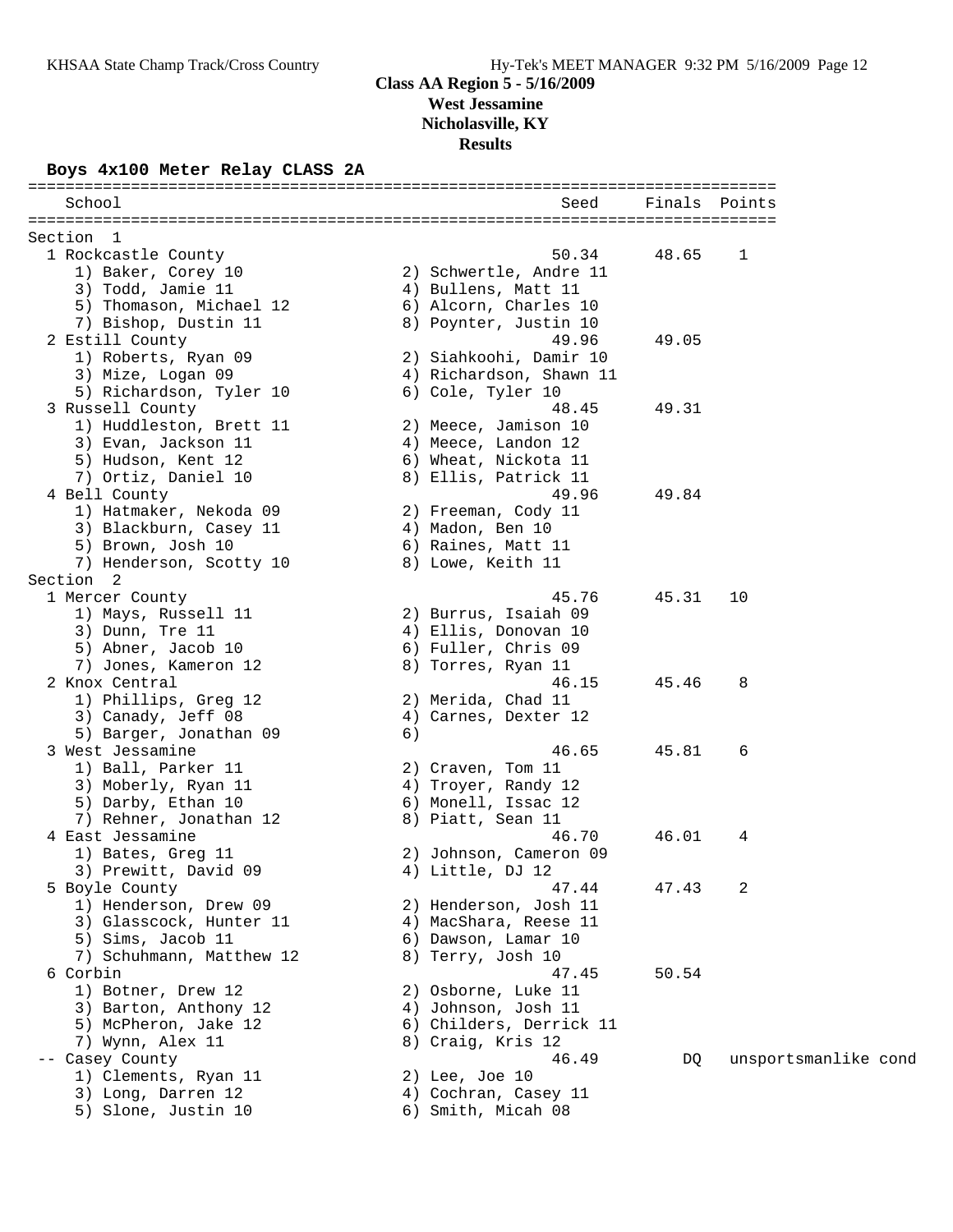## **Class AA Region 5 - 5/16/2009 West Jessamine**

**Nicholasville, KY**

**Results**

# **Boys 4x100 Meter Relay CLASS 2A**

| School                   | Seed                    | Finals Points |                      |
|--------------------------|-------------------------|---------------|----------------------|
| Section 1                |                         |               |                      |
| 1 Rockcastle County      | 50.34                   | 48.65         | 1                    |
| 1) Baker, Corey 10       | 2) Schwertle, Andre 11  |               |                      |
| 3) Todd, Jamie 11        | 4) Bullens, Matt 11     |               |                      |
| 5) Thomason, Michael 12  | 6) Alcorn, Charles 10   |               |                      |
| 7) Bishop, Dustin 11     | 8) Poynter, Justin 10   |               |                      |
| 2 Estill County          | 49.96                   | 49.05         |                      |
| 1) Roberts, Ryan 09      | 2) Siahkoohi, Damir 10  |               |                      |
| 3) Mize, Logan 09        | 4) Richardson, Shawn 11 |               |                      |
| 5) Richardson, Tyler 10  | 6) Cole, Tyler 10       |               |                      |
| 3 Russell County         | 48.45                   | 49.31         |                      |
| 1) Huddleston, Brett 11  | 2) Meece, Jamison 10    |               |                      |
| 3) Evan, Jackson 11      | 4) Meece, Landon 12     |               |                      |
| 5) Hudson, Kent 12       | 6) Wheat, Nickota 11    |               |                      |
| 7) Ortiz, Daniel 10      | 8) Ellis, Patrick 11    |               |                      |
| 4 Bell County            | 49.96                   | 49.84         |                      |
| 1) Hatmaker, Nekoda 09   | 2) Freeman, Cody 11     |               |                      |
| 3) Blackburn, Casey 11   | 4) Madon, Ben 10        |               |                      |
| 5) Brown, Josh 10        | 6) Raines, Matt 11      |               |                      |
| 7) Henderson, Scotty 10  | 8) Lowe, Keith 11       |               |                      |
| Section 2                |                         |               |                      |
| 1 Mercer County          | 45.76                   | 45.31         | 10                   |
| 1) Mays, Russell 11      | 2) Burrus, Isaiah 09    |               |                      |
| 3) Dunn, Tre 11          | 4) Ellis, Donovan 10    |               |                      |
| 5) Abner, Jacob 10       | 6) Fuller, Chris 09     |               |                      |
| 7) Jones, Kameron 12     | 8) Torres, Ryan 11      |               |                      |
| 2 Knox Central           | 46.15                   | 45.46         | 8                    |
| 1) Phillips, Greg 12     | 2) Merida, Chad 11      |               |                      |
| 3) Canady, Jeff 08       | 4) Carnes, Dexter 12    |               |                      |
| 5) Barger, Jonathan 09   | 6)                      |               |                      |
| 3 West Jessamine         | 46.65                   | 45.81         | 6                    |
| 1) Ball, Parker 11       | 2) Craven, Tom 11       |               |                      |
| 3) Moberly, Ryan 11      | 4) Troyer, Randy 12     |               |                      |
| 5) Darby, Ethan 10       | 6) Monell, Issac 12     |               |                      |
| 7) Rehner, Jonathan 12   | 8) Piatt, Sean 11       |               |                      |
| 4 East Jessamine         | 46.70                   | 46.01         | 4                    |
| 1) Bates, Greg 11        | 2) Johnson, Cameron 09  |               |                      |
| 3) Prewitt, David 09     | 4) Little, DJ 12        |               |                      |
| 5 Boyle County           | 47.44                   | 47.43         | 2                    |
| 1) Henderson, Drew 09    | 2) Henderson, Josh 11   |               |                      |
| 3) Glasscock, Hunter 11  | 4) MacShara, Reese 11   |               |                      |
| 5) Sims, Jacob 11        | 6) Dawson, Lamar 10     |               |                      |
| 7) Schuhmann, Matthew 12 | 8) Terry, Josh 10       |               |                      |
| 6 Corbin                 | 47.45                   | 50.54         |                      |
| 1) Botner, Drew 12       | 2) Osborne, Luke 11     |               |                      |
| 3) Barton, Anthony 12    | 4) Johnson, Josh 11     |               |                      |
| 5) McPheron, Jake 12     | 6) Childers, Derrick 11 |               |                      |
| 7) Wynn, Alex 11         | 8) Craig, Kris 12       |               |                      |
| -- Casey County          | 46.49                   | DQ            | unsportsmanlike cond |
| 1) Clements, Ryan 11     | $2)$ Lee, Joe 10        |               |                      |
| 3) Long, Darren 12       | 4) Cochran, Casey 11    |               |                      |
| 5) Slone, Justin 10      | 6) Smith, Micah 08      |               |                      |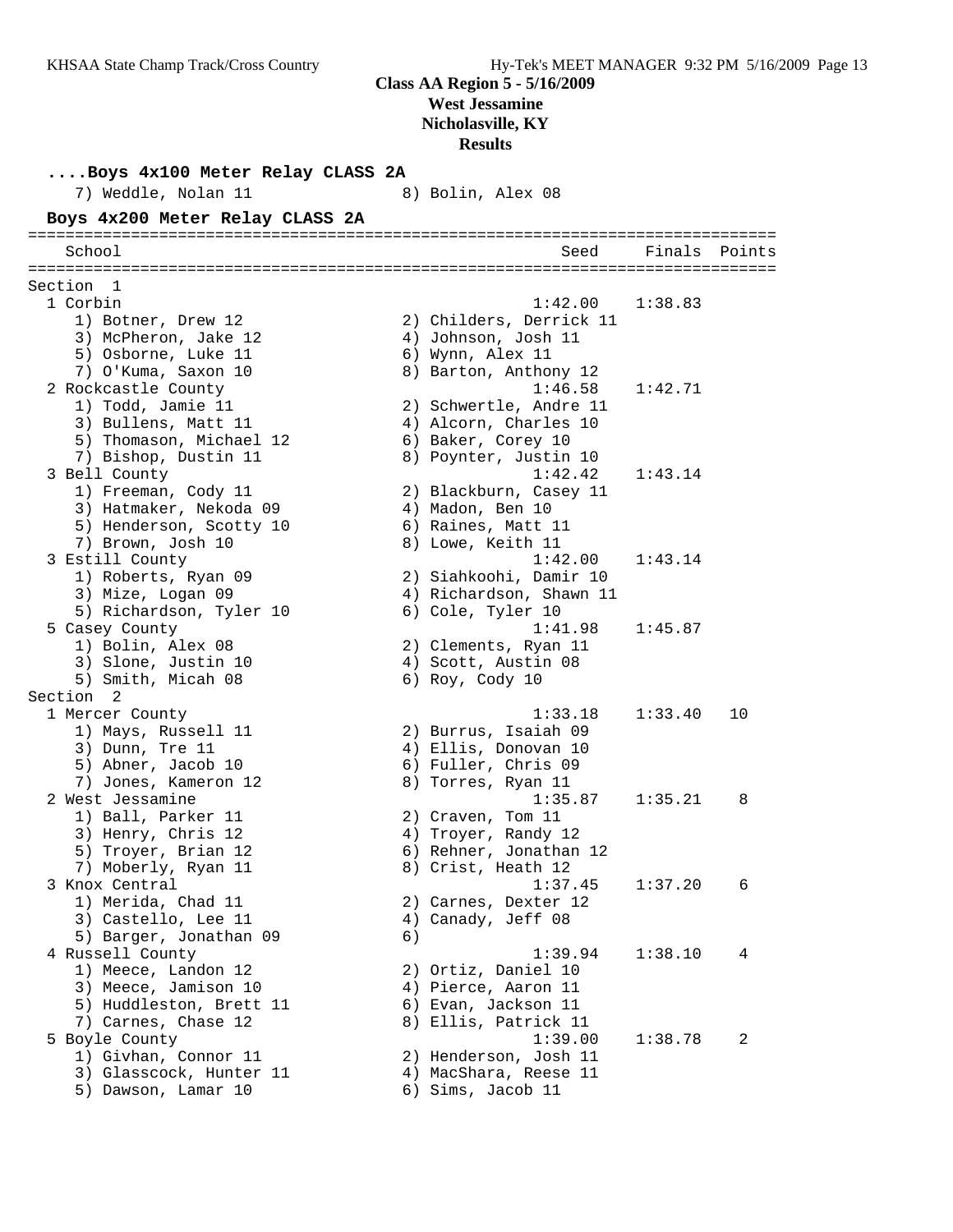**....Boys 4x100 Meter Relay CLASS 2A** 7) Weddle, Nolan 11 8) Bolin, Alex 08 **Boys 4x200 Meter Relay CLASS 2A** ================================================================================ School Seed Finals Points ================================================================================ Section 1 1 Corbin 1:42.00 1:38.83 1) Botner, Drew 12 2) Childers, Derrick 11 3) McPheron, Jake 12 (4) Johnson, Josh 11 5) Osborne, Luke 11 (6) Wynn, Alex 11 7) O'Kuma, Saxon 10 8) Barton, Anthony 12 2 Rockcastle County 1:46.58 1:42.71 1) Todd, Jamie 11 2) Schwertle, Andre 11 3) Bullens, Matt 11 4) Alcorn, Charles 10 5) Thomason, Michael 12 6) Baker, Corey 10 7) Bishop, Dustin 11 8) Poynter, Justin 10 3 Bell County 1:42.42 1:43.14 1) Freeman, Cody 11 2) Blackburn, Casey 11 3) Hatmaker, Nekoda 09 (4) Madon, Ben 10 5) Henderson, Scotty 10 (6) Raines, Matt 11 7) Brown, Josh 10 8) Lowe, Keith 11 3 Estill County 1:42.00 1:43.14 1) Roberts, Ryan 09 2) Siahkoohi, Damir 10 3) Mize, Logan 09 4) Richardson, Shawn 11 5) Richardson, Tyler 10  $\qquad \qquad$  6) Cole, Tyler 10 5 Casey County 1:41.98 1:45.87 1) Bolin, Alex 08 2) Clements, Ryan 11 3) Slone, Justin 10 (4) Scott, Austin 08 5) Smith, Micah 08 6) Roy, Cody 10 Section 2<br>1 Mercer County 1 Mercer County 1:33.18 1:33.40 10 1) Mays, Russell 11 2) Burrus, Isaiah 09 3) Dunn, Tre 11 (2008) 4) Ellis, Donovan 10 5) Abner, Jacob 10 6) Fuller, Chris 09 7) Jones, Kameron 12  $\hphantom{\text{2}}$  8) Torres, Ryan 11 2 West Jessamine 1:35.87 1:35.21 8 1) Ball, Parker 11 2) Craven, Tom 11 3) Henry, Chris 12 4) Troyer, Randy 12 5) Troyer, Brian 12 6) Rehner, Jonathan 12 7) Moberly, Ryan 11 8) Crist, Heath 12 3 Knox Central 1:37.45 1:37.20 6 1) Merida, Chad 11 2) Carnes, Dexter 12 3) Castello, Lee 11 (4) Canady, Jeff 08 5) Barger, Jonathan 09 (6) 4 Russell County 1:39.94 1:38.10 4 1) Meece, Landon 12 2) Ortiz, Daniel 10 3) Meece, Jamison 10 4) Pierce, Aaron 11 5) Huddleston, Brett 11 (6) Evan, Jackson 11 7) Carnes, Chase 12 (8) Bllis, Patrick 11 5 Boyle County 1:39.00 1:38.78 2 1) Givhan, Connor 11 2) Henderson, Josh 11 3) Glasscock, Hunter 11 4) MacShara, Reese 11 5) Dawson, Lamar 10 (6) Sims, Jacob 11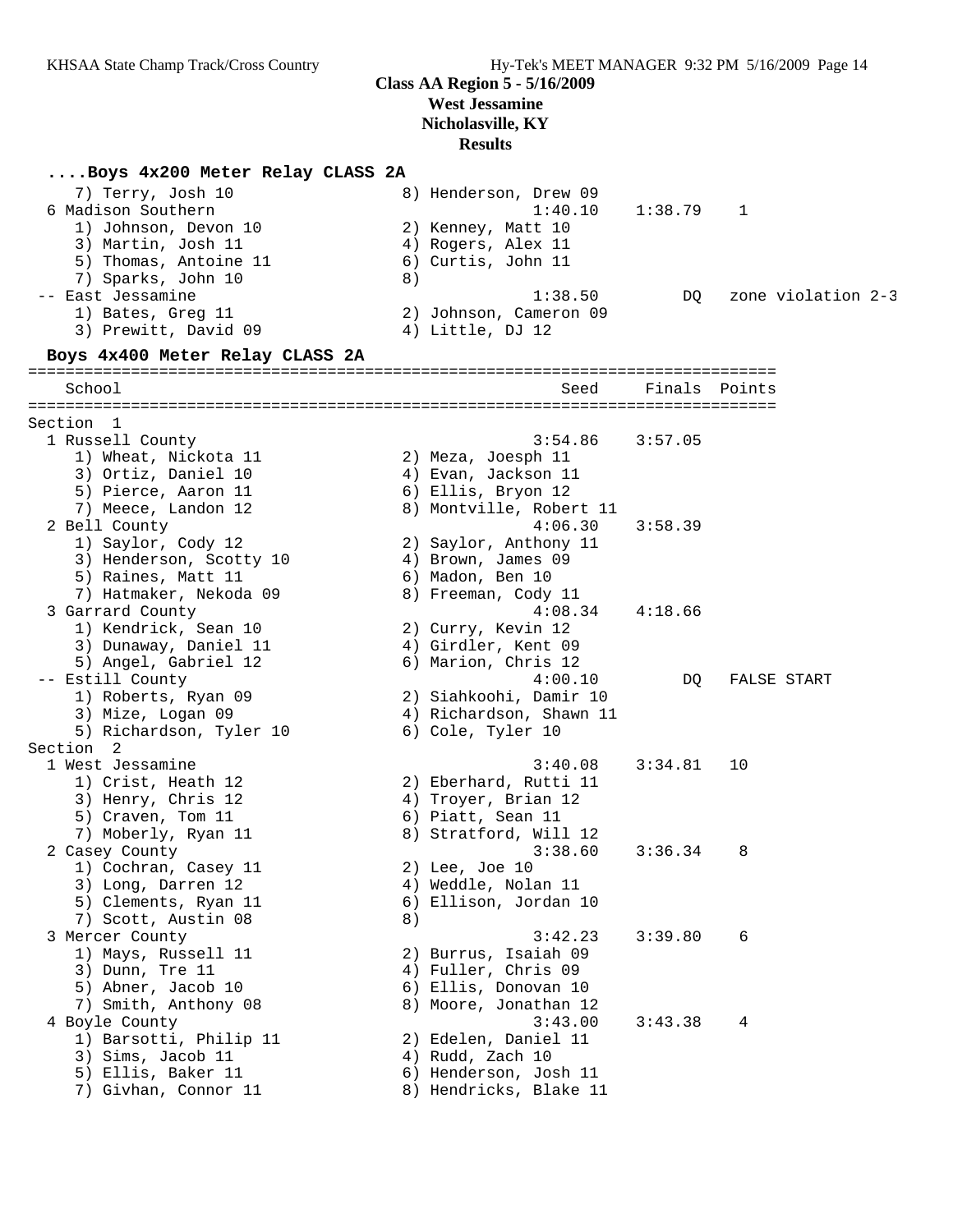### **....Boys 4x200 Meter Relay CLASS 2A**

| 7) Terry, Josh 10<br>6 Madison Southern<br>1) Johnson, Devon 10<br>3) Martin, Josh 11<br>5) Thomas, Antoine 11           |    | 8) Henderson, Drew 09<br>1:40.10<br>2) Kenney, Matt 10<br>4) Rogers, Alex 11<br>6) Curtis, John 11      | 1:38.79 | 1      |                    |  |
|--------------------------------------------------------------------------------------------------------------------------|----|---------------------------------------------------------------------------------------------------------|---------|--------|--------------------|--|
| 7) Sparks, John 10<br>-- East Jessamine<br>1) Bates, Greg 11<br>3) Prewitt, David 09                                     | 8) | 1:38.50<br>2) Johnson, Cameron 09<br>4) Little, DJ 12                                                   | DQ.     |        | zone violation 2-3 |  |
| Boys 4x400 Meter Relay CLASS 2A                                                                                          |    |                                                                                                         |         |        |                    |  |
| School                                                                                                                   |    | Seed                                                                                                    | Finals  | Points |                    |  |
| Section 1                                                                                                                |    |                                                                                                         |         |        |                    |  |
| 1 Russell County<br>1) Wheat, Nickota 11<br>3) Ortiz, Daniel 10<br>5) Pierce, Aaron 11<br>7) Meece, Landon 12            |    | 3:54.86<br>2) Meza, Joesph 11<br>4) Evan, Jackson 11<br>6) Ellis, Bryon 12<br>8) Montville, Robert 11   | 3:57.05 |        |                    |  |
| 2 Bell County<br>1) Saylor, Cody 12<br>3) Henderson, Scotty 10<br>5) Raines, Matt 11<br>7) Hatmaker, Nekoda 09           |    | 4:06.30<br>2) Saylor, Anthony 11<br>4) Brown, James 09<br>6) Madon, Ben 10<br>8) Freeman, Cody 11       | 3:58.39 |        |                    |  |
| 3 Garrard County<br>1) Kendrick, Sean 10<br>3) Dunaway, Daniel 11<br>5) Angel, Gabriel 12                                |    | 4:08.34<br>2) Curry, Kevin 12<br>4) Girdler, Kent 09<br>6) Marion, Chris 12                             | 4:18.66 |        |                    |  |
| -- Estill County<br>1) Roberts, Ryan 09<br>3) Mize, Logan 09<br>5) Richardson, Tyler 10                                  |    | 4:00.10<br>2) Siahkoohi, Damir 10<br>4) Richardson, Shawn 11<br>6) Cole, Tyler 10                       | DQ      |        | FALSE START        |  |
| Section<br>2<br>1 West Jessamine<br>1) Crist, Heath 12<br>3) Henry, Chris 12<br>5) Craven, Tom 11<br>7) Moberly, Ryan 11 |    | 3:40.08<br>2) Eberhard, Rutti 11<br>4) Troyer, Brian 12<br>6) Piatt, Sean 11<br>8) Stratford, Will 12   | 3:34.81 | 10     |                    |  |
| 2 Casey County<br>1) Cochran, Casey 11<br>3) Long, Darren 12<br>5) Clements, Ryan 11<br>7) Scott, Austin 08              | 8) | 3:38.60<br>2) Lee, Joe 10<br>4) Weddle, Nolan 11<br>6) Ellison, Jordan 10                               | 3:36.34 | 8      |                    |  |
| 3 Mercer County<br>1) Mays, Russell 11<br>3) Dunn, Tre 11<br>5) Abner, Jacob 10<br>7) Smith, Anthony 08                  |    | 3:42.23<br>2) Burrus, Isaiah 09<br>4) Fuller, Chris 09<br>6) Ellis, Donovan 10<br>8) Moore, Jonathan 12 | 3:39.80 | 6      |                    |  |
| 4 Boyle County<br>1) Barsotti, Philip 11<br>3) Sims, Jacob 11<br>5) Ellis, Baker 11<br>7) Givhan, Connor 11              |    | 3:43.00<br>2) Edelen, Daniel 11<br>4) Rudd, Zach 10<br>6) Henderson, Josh 11<br>8) Hendricks, Blake 11  | 3:43.38 | 4      |                    |  |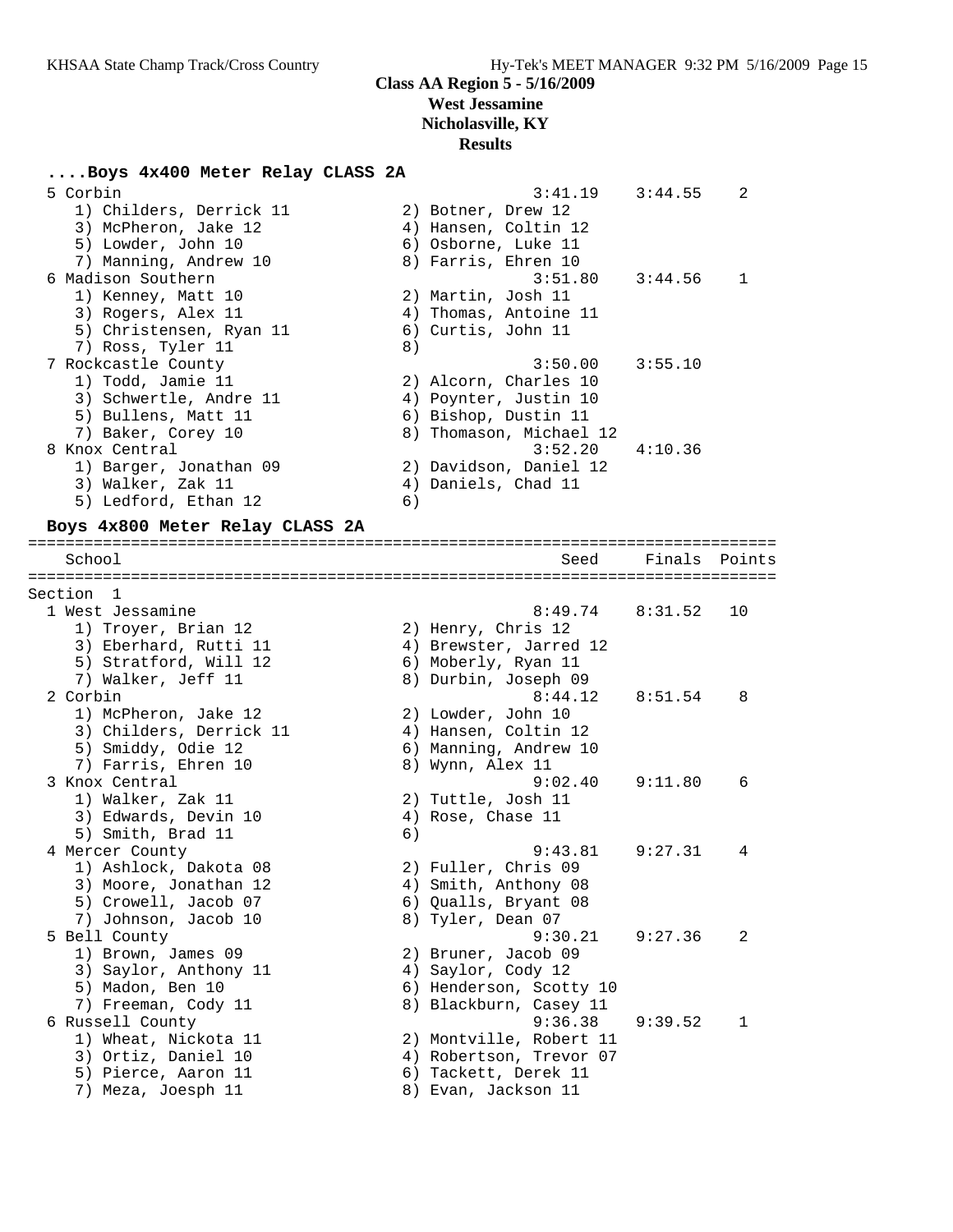#### **....Boys 4x400 Meter Relay CLASS 2A**

| 5 Corbin                | 3:41.19                 | 3:44.55 | 2 |
|-------------------------|-------------------------|---------|---|
| 1) Childers, Derrick 11 | 2) Botner, Drew 12      |         |   |
| 3) McPheron, Jake 12    | 4) Hansen, Coltin 12    |         |   |
| 5) Lowder, John 10      | 6) Osborne, Luke 11     |         |   |
| 7) Manning, Andrew 10   | 8) Farris, Ehren 10     |         |   |
| 6 Madison Southern      | 3:51.80                 | 3:44.56 | 1 |
| 1) Kenney, Matt 10      | 2) Martin, Josh 11      |         |   |
| 3) Rogers, Alex 11      | 4) Thomas, Antoine 11   |         |   |
| 5) Christensen, Ryan 11 | 6) Curtis, John 11      |         |   |
| 7) Ross, Tyler 11       | 8)                      |         |   |
| 7 Rockcastle County     | 3:50.00                 | 3:55.10 |   |
| 1) Todd, Jamie 11       | 2) Alcorn, Charles 10   |         |   |
| 3) Schwertle, Andre 11  | 4) Poynter, Justin 10   |         |   |
| 5) Bullens, Matt 11     | 6) Bishop, Dustin 11    |         |   |
| 7) Baker, Corey 10      | 8) Thomason, Michael 12 |         |   |
| 8 Knox Central          | $3:52.20$ $4:10.36$     |         |   |
| 1) Barger, Jonathan 09  | 2) Davidson, Daniel 12  |         |   |
| 3) Walker, Zak 11       | 4) Daniels, Chad 11     |         |   |
| 5) Ledford, Ethan 12    | 6)                      |         |   |

#### **Boys 4x800 Meter Relay CLASS 2A**

================================================================================ School Seed Finals Points ================================================================================ Section 1 1 West Jessamine 8:49.74 8:31.52 10 1) Troyer, Brian 12 2) Henry, Chris 12 3) Eberhard, Rutti 11 4) Brewster, Jarred 12 5) Stratford, Will 12 (6) Moberly, Ryan 11 7) Walker, Jeff 11 8) Durbin, Joseph 09 2 Corbin 8:44.12 8:51.54 8 1) McPheron, Jake 12 2) Lowder, John 10 3) Childers, Derrick 11 (4) Hansen, Coltin 12 5) Smiddy, Odie 12 6) Manning, Andrew 10 7) Farris, Ehren 10  $\qquad \qquad 8)$  Wynn, Alex 11 3 Knox Central 9:02.40 9:11.80 6 1) Walker, Zak 11 2) Tuttle, Josh 11 3) Edwards, Devin 10 (4) Rose, Chase 11 5) Smith, Brad 11 6) 4 Mercer County 9:43.81 9:27.31 4 1) Ashlock, Dakota 08 2) Fuller, Chris 09 3) Moore, Jonathan 12  $\hskip10mm$  4) Smith, Anthony 08 5) Crowell, Jacob 07 (6) Qualls, Bryant 08 7) Johnson, Jacob 10 8) Tyler, Dean 07 5 Bell County 9:30.21 9:27.36 2 1) Brown, James 09 2) Bruner, Jacob 09 3) Saylor, Anthony 11 4) Saylor, Cody 12 5) Madon, Ben 10 6) Henderson, Scotty 10 7) Freeman, Cody 11 8) Blackburn, Casey 11 6 Russell County 9:36.38 9:39.52 1 1) Wheat, Nickota 11 2) Montville, Robert 11 3) Ortiz, Daniel 10 4) Robertson, Trevor 07 5) Pierce, Aaron 11 6) Tackett, Derek 11 7) Meza, Joesph 11 8) Evan, Jackson 11